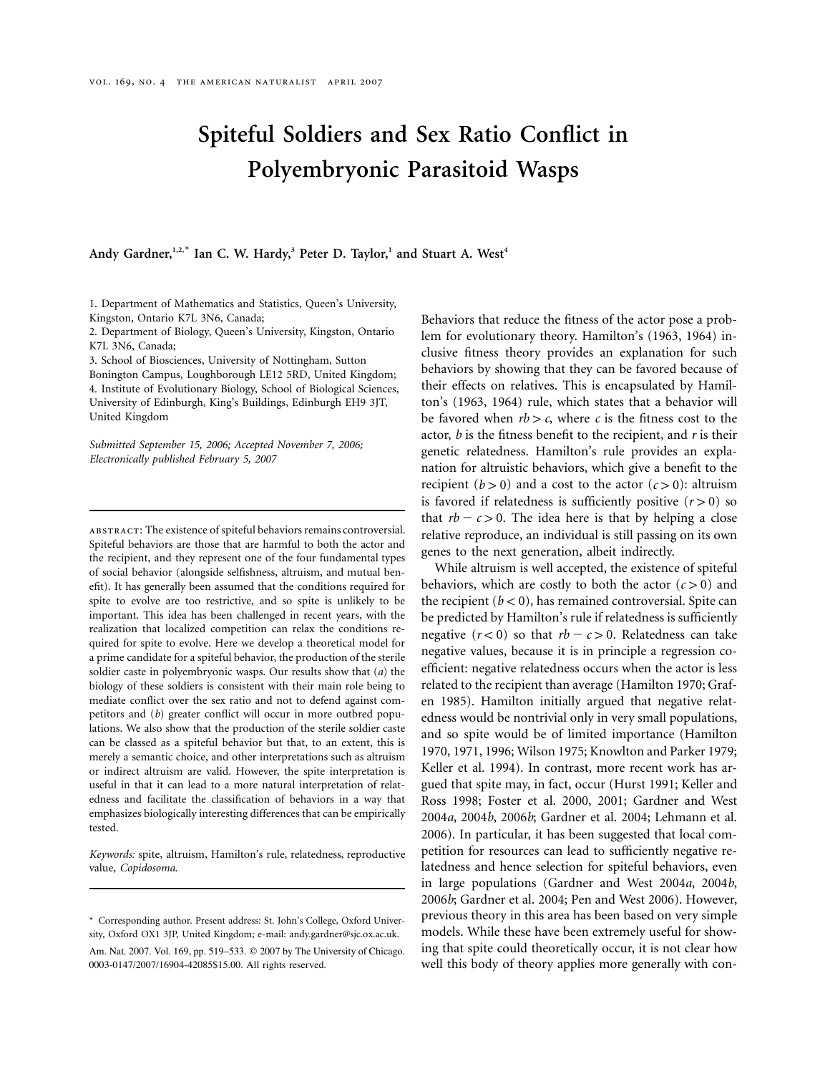# **Spiteful Soldiers and Sex Ratio Conflict in Polyembryonic Parasitoid Wasps**

**Andy Gardner, 1,2,**\* **Ian C. W. Hardy, <sup>3</sup> Peter D. Taylor, <sup>1</sup> and Stuart A. West4**

1. Department of Mathematics and Statistics, Queen's University, Kingston, Ontario K7L 3N6, Canada;

2. Department of Biology, Queen's University, Kingston, Ontario K7L 3N6, Canada;

3. School of Biosciences, University of Nottingham, Sutton Bonington Campus, Loughborough LE12 5RD, United Kingdom;

4. Institute of Evolutionary Biology, School of Biological Sciences, University of Edinburgh, King's Buildings, Edinburgh EH9 3JT, United Kingdom

*Submitted September 15, 2006; Accepted November 7, 2006; Electronically published February 5, 2007*

abstract: The existence of spiteful behaviors remains controversial. Spiteful behaviors are those that are harmful to both the actor and the recipient, and they represent one of the four fundamental types of social behavior (alongside selfishness, altruism, and mutual benefit). It has generally been assumed that the conditions required for spite to evolve are too restrictive, and so spite is unlikely to be important. This idea has been challenged in recent years, with the realization that localized competition can relax the conditions required for spite to evolve. Here we develop a theoretical model for a prime candidate for a spiteful behavior, the production of the sterile soldier caste in polyembryonic wasps. Our results show that (*a*) the biology of these soldiers is consistent with their main role being to mediate conflict over the sex ratio and not to defend against competitors and (*b*) greater conflict will occur in more outbred populations. We also show that the production of the sterile soldier caste can be classed as a spiteful behavior but that, to an extent, this is merely a semantic choice, and other interpretations such as altruism or indirect altruism are valid. However, the spite interpretation is useful in that it can lead to a more natural interpretation of relatedness and facilitate the classification of behaviors in a way that emphasizes biologically interesting differences that can be empirically tested.

*Keywords:* spite, altruism, Hamilton's rule, relatedness, reproductive value, *Copidosoma*.

Behaviors that reduce the fitness of the actor pose a problem for evolutionary theory. Hamilton's (1963, 1964) inclusive fitness theory provides an explanation for such behaviors by showing that they can be favored because of their effects on relatives. This is encapsulated by Hamilton's (1963, 1964) rule, which states that a behavior will be favored when  $rb > c$ , where *c* is the fitness cost to the actor, *b* is the fitness benefit to the recipient, and *r* is their genetic relatedness. Hamilton's rule provides an explanation for altruistic behaviors, which give a benefit to the recipient ( $b > 0$ ) and a cost to the actor ( $c > 0$ ): altruism is favored if relatedness is sufficiently positive  $(r > 0)$  so that  $rb - c > 0$ . The idea here is that by helping a close relative reproduce, an individual is still passing on its own genes to the next generation, albeit indirectly.

While altruism is well accepted, the existence of spiteful behaviors, which are costly to both the actor  $(c > 0)$  and the recipient  $(b < 0)$ , has remained controversial. Spite can be predicted by Hamilton's rule if relatedness is sufficiently negative  $(r < 0)$  so that  $rb - c > 0$ . Relatedness can take negative values, because it is in principle a regression coefficient: negative relatedness occurs when the actor is less related to the recipient than average (Hamilton 1970; Grafen 1985). Hamilton initially argued that negative relatedness would be nontrivial only in very small populations, and so spite would be of limited importance (Hamilton 1970, 1971, 1996; Wilson 1975; Knowlton and Parker 1979; Keller et al. 1994). In contrast, more recent work has argued that spite may, in fact, occur (Hurst 1991; Keller and Ross 1998; Foster et al. 2000, 2001; Gardner and West 2004*a*, 2004*b*, 2006*b*; Gardner et al. 2004; Lehmann et al. 2006). In particular, it has been suggested that local competition for resources can lead to sufficiently negative relatedness and hence selection for spiteful behaviors, even in large populations (Gardner and West 2004*a*, 2004*b*, 2006*b*; Gardner et al. 2004; Pen and West 2006). However, previous theory in this area has been based on very simple models. While these have been extremely useful for showing that spite could theoretically occur, it is not clear how well this body of theory applies more generally with con-

<sup>\*</sup> Corresponding author. Present address: St. John's College, Oxford University, Oxford OX1 3JP, United Kingdom; e-mail: andy.gardner@sjc.ox.ac.uk.

Am. Nat. 2007. Vol. 169, pp. 519-533. @ 2007 by The University of Chicago. 0003-0147/2007/16904-42085\$15.00. All rights reserved.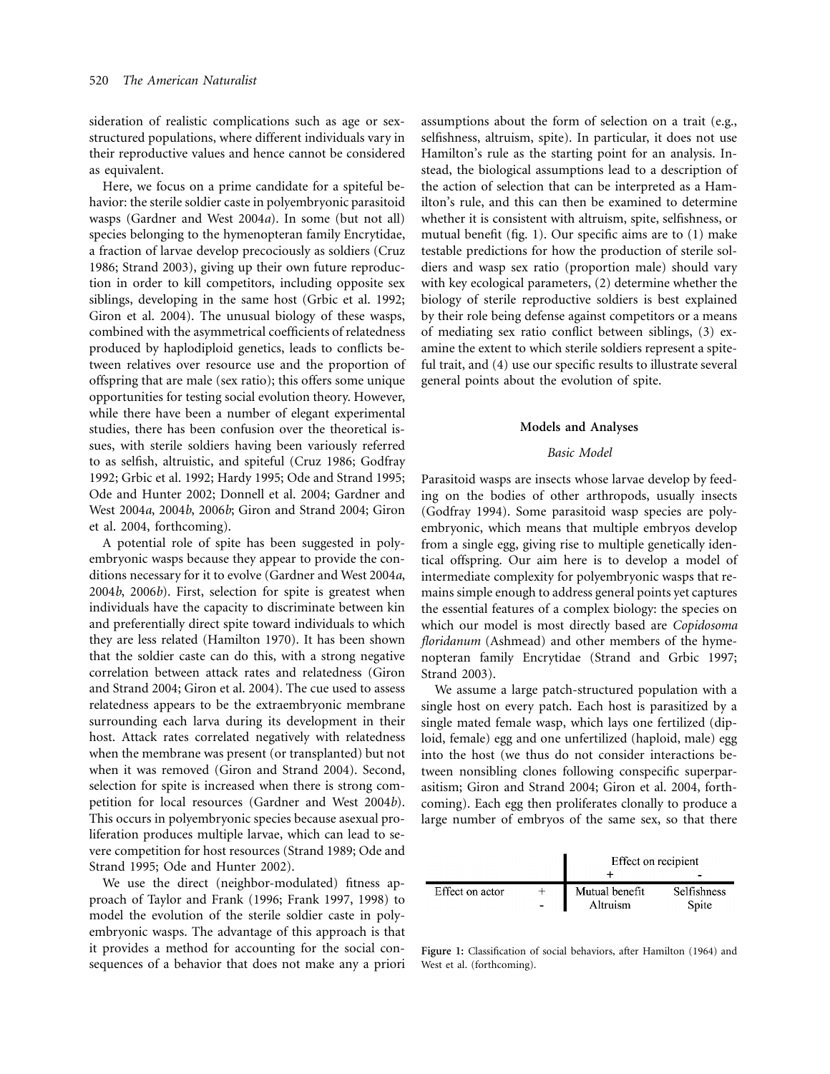sideration of realistic complications such as age or sexstructured populations, where different individuals vary in their reproductive values and hence cannot be considered as equivalent.

Here, we focus on a prime candidate for a spiteful behavior: the sterile soldier caste in polyembryonic parasitoid wasps (Gardner and West 2004*a*). In some (but not all) species belonging to the hymenopteran family Encrytidae, a fraction of larvae develop precociously as soldiers (Cruz 1986; Strand 2003), giving up their own future reproduction in order to kill competitors, including opposite sex siblings, developing in the same host (Grbic et al. 1992; Giron et al. 2004). The unusual biology of these wasps, combined with the asymmetrical coefficients of relatedness produced by haplodiploid genetics, leads to conflicts between relatives over resource use and the proportion of offspring that are male (sex ratio); this offers some unique opportunities for testing social evolution theory. However, while there have been a number of elegant experimental studies, there has been confusion over the theoretical issues, with sterile soldiers having been variously referred to as selfish, altruistic, and spiteful (Cruz 1986; Godfray 1992; Grbic et al. 1992; Hardy 1995; Ode and Strand 1995; Ode and Hunter 2002; Donnell et al. 2004; Gardner and West 2004*a*, 2004*b*, 2006*b*; Giron and Strand 2004; Giron et al. 2004, forthcoming).

A potential role of spite has been suggested in polyembryonic wasps because they appear to provide the conditions necessary for it to evolve (Gardner and West 2004*a*, 2004*b*, 2006*b*). First, selection for spite is greatest when individuals have the capacity to discriminate between kin and preferentially direct spite toward individuals to which they are less related (Hamilton 1970). It has been shown that the soldier caste can do this, with a strong negative correlation between attack rates and relatedness (Giron and Strand 2004; Giron et al. 2004). The cue used to assess relatedness appears to be the extraembryonic membrane surrounding each larva during its development in their host. Attack rates correlated negatively with relatedness when the membrane was present (or transplanted) but not when it was removed (Giron and Strand 2004). Second, selection for spite is increased when there is strong competition for local resources (Gardner and West 2004*b*). This occurs in polyembryonic species because asexual proliferation produces multiple larvae, which can lead to severe competition for host resources (Strand 1989; Ode and Strand 1995; Ode and Hunter 2002).

We use the direct (neighbor-modulated) fitness approach of Taylor and Frank (1996; Frank 1997, 1998) to model the evolution of the sterile soldier caste in polyembryonic wasps. The advantage of this approach is that it provides a method for accounting for the social consequences of a behavior that does not make any a priori assumptions about the form of selection on a trait (e.g., selfishness, altruism, spite). In particular, it does not use Hamilton's rule as the starting point for an analysis. Instead, the biological assumptions lead to a description of the action of selection that can be interpreted as a Hamilton's rule, and this can then be examined to determine whether it is consistent with altruism, spite, selfishness, or mutual benefit (fig. 1). Our specific aims are to (1) make testable predictions for how the production of sterile soldiers and wasp sex ratio (proportion male) should vary with key ecological parameters, (2) determine whether the biology of sterile reproductive soldiers is best explained by their role being defense against competitors or a means of mediating sex ratio conflict between siblings, (3) examine the extent to which sterile soldiers represent a spiteful trait, and (4) use our specific results to illustrate several general points about the evolution of spite.

## **Models and Analyses**

# *Basic Model*

Parasitoid wasps are insects whose larvae develop by feeding on the bodies of other arthropods, usually insects (Godfray 1994). Some parasitoid wasp species are polyembryonic, which means that multiple embryos develop from a single egg, giving rise to multiple genetically identical offspring. Our aim here is to develop a model of intermediate complexity for polyembryonic wasps that remains simple enough to address general points yet captures the essential features of a complex biology: the species on which our model is most directly based are *Copidosoma floridanum* (Ashmead) and other members of the hymenopteran family Encrytidae (Strand and Grbic 1997; Strand 2003).

We assume a large patch-structured population with a single host on every patch. Each host is parasitized by a single mated female wasp, which lays one fertilized (diploid, female) egg and one unfertilized (haploid, male) egg into the host (we thus do not consider interactions between nonsibling clones following conspecific superparasitism; Giron and Strand 2004; Giron et al. 2004, forthcoming). Each egg then proliferates clonally to produce a large number of embryos of the same sex, so that there



**Figure 1:** Classification of social behaviors, after Hamilton (1964) and West et al. (forthcoming).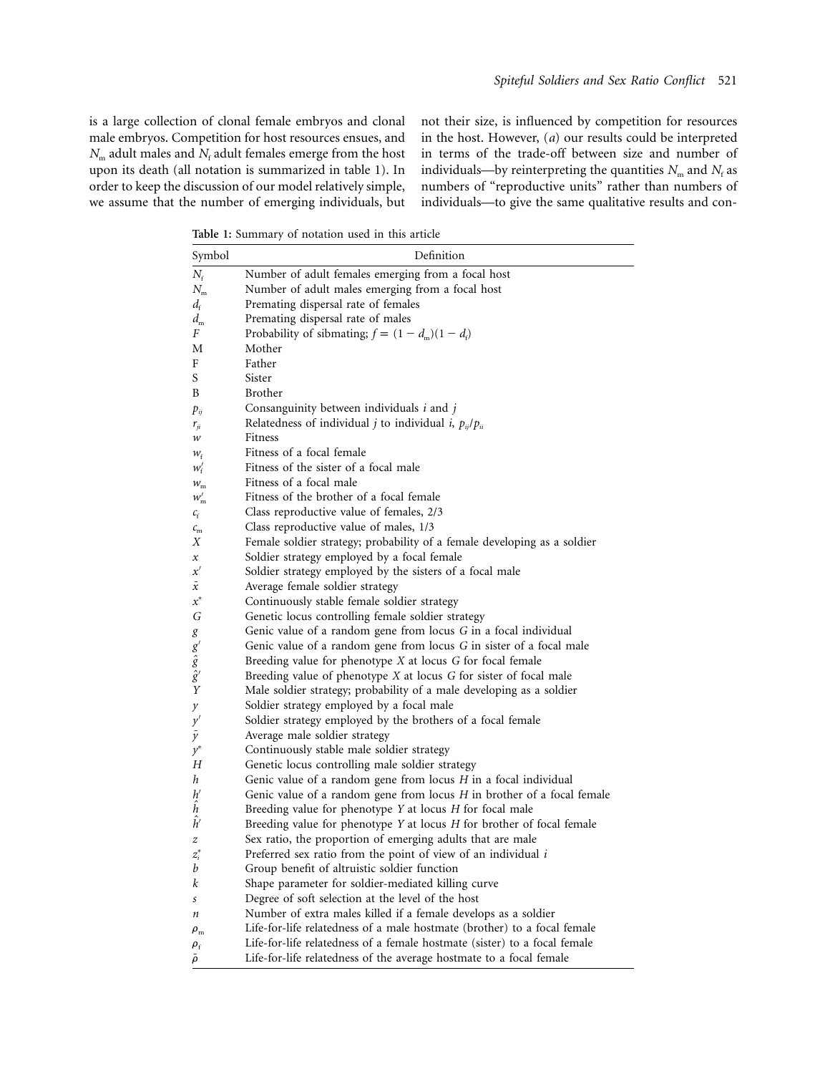is a large collection of clonal female embryos and clonal male embryos. Competition for host resources ensues, and  $N<sub>m</sub>$  adult males and  $N<sub>f</sub>$  adult females emerge from the host upon its death (all notation is summarized in table 1). In order to keep the discussion of our model relatively simple, we assume that the number of emerging individuals, but not their size, is influenced by competition for resources in the host. However, (*a*) our results could be interpreted in terms of the trade-off between size and number of individuals—by reinterpreting the quantities  $N<sub>m</sub>$  and  $N<sub>f</sub>$  as numbers of "reproductive units" rather than numbers of individuals—to give the same qualitative results and con-

**Table 1:** Summary of notation used in this article

| Symbol                                | Definition                                                                                                                              |  |  |  |
|---------------------------------------|-----------------------------------------------------------------------------------------------------------------------------------------|--|--|--|
| $N_{\rm f}$                           | Number of adult females emerging from a focal host                                                                                      |  |  |  |
| $N_{\rm m}$                           | Number of adult males emerging from a focal host                                                                                        |  |  |  |
| d <sub>f</sub>                        | Premating dispersal rate of females                                                                                                     |  |  |  |
| $d_{\rm m}$                           | Premating dispersal rate of males                                                                                                       |  |  |  |
| F                                     | Probability of sibmating; $f = (1 - d_m)(1 - d_f)$                                                                                      |  |  |  |
| Μ                                     | Mother                                                                                                                                  |  |  |  |
| F                                     | Father                                                                                                                                  |  |  |  |
| S                                     | Sister                                                                                                                                  |  |  |  |
| B                                     | Brother                                                                                                                                 |  |  |  |
| $p_{\scriptscriptstyle ij}$           | Consanguinity between individuals $i$ and $j$                                                                                           |  |  |  |
| $r_{ji}$                              | Relatedness of individual <i>j</i> to individual <i>i</i> , $p_{ij}/p_{ii}$                                                             |  |  |  |
| w                                     | Fitness                                                                                                                                 |  |  |  |
| $W_{\rm f}$                           | Fitness of a focal female                                                                                                               |  |  |  |
| $W_{\mathrm{f}}^{\prime}$             | Fitness of the sister of a focal male                                                                                                   |  |  |  |
| $W_{\rm m}$                           | Fitness of a focal male                                                                                                                 |  |  |  |
| $w'_{\rm m}$                          | Fitness of the brother of a focal female                                                                                                |  |  |  |
| $c_{\rm f}$                           | Class reproductive value of females, 2/3                                                                                                |  |  |  |
| $c_{\rm m}$                           | Class reproductive value of males, 1/3                                                                                                  |  |  |  |
| Χ                                     | Female soldier strategy; probability of a female developing as a soldier                                                                |  |  |  |
| х                                     | Soldier strategy employed by a focal female                                                                                             |  |  |  |
| $x^{\prime}$                          | Soldier strategy employed by the sisters of a focal male                                                                                |  |  |  |
| $\bar{x}$                             | Average female soldier strategy                                                                                                         |  |  |  |
| $x^*$                                 | Continuously stable female soldier strategy                                                                                             |  |  |  |
| G                                     | Genetic locus controlling female soldier strategy                                                                                       |  |  |  |
| g                                     | Genic value of a random gene from locus G in a focal individual                                                                         |  |  |  |
| g'                                    | Genic value of a random gene from locus G in sister of a focal male                                                                     |  |  |  |
| ĝ                                     | Breeding value for phenotype $X$ at locus $G$ for focal female                                                                          |  |  |  |
| $\hat{g}'$                            | Breeding value of phenotype $X$ at locus $G$ for sister of focal male                                                                   |  |  |  |
| Y                                     | Male soldier strategy; probability of a male developing as a soldier                                                                    |  |  |  |
| y                                     | Soldier strategy employed by a focal male                                                                                               |  |  |  |
| y'                                    | Soldier strategy employed by the brothers of a focal female                                                                             |  |  |  |
| $\bar{y}$                             | Average male soldier strategy                                                                                                           |  |  |  |
| $y^*$                                 | Continuously stable male soldier strategy                                                                                               |  |  |  |
| Н                                     | Genetic locus controlling male soldier strategy                                                                                         |  |  |  |
| h                                     | Genic value of a random gene from locus $H$ in a focal individual                                                                       |  |  |  |
| h'<br>ĥ                               | Genic value of a random gene from locus $H$ in brother of a focal female                                                                |  |  |  |
| h'                                    | Breeding value for phenotype $Y$ at locus $H$ for focal male                                                                            |  |  |  |
|                                       | Breeding value for phenotype $Y$ at locus $H$ for brother of focal female<br>Sex ratio, the proportion of emerging adults that are male |  |  |  |
| z<br>$z_i^*$                          | Preferred sex ratio from the point of view of an individual i                                                                           |  |  |  |
| b                                     | Group benefit of altruistic soldier function                                                                                            |  |  |  |
| k                                     | Shape parameter for soldier-mediated killing curve                                                                                      |  |  |  |
|                                       | Degree of soft selection at the level of the host                                                                                       |  |  |  |
| s<br>п                                | Number of extra males killed if a female develops as a soldier                                                                          |  |  |  |
|                                       | Life-for-life relatedness of a male hostmate (brother) to a focal female                                                                |  |  |  |
| $\bm{\rho}_{\rm m}$<br>$\rho_{\rm f}$ | Life-for-life relatedness of a female hostmate (sister) to a focal female                                                               |  |  |  |
| ρ                                     | Life-for-life relatedness of the average hostmate to a focal female                                                                     |  |  |  |
|                                       |                                                                                                                                         |  |  |  |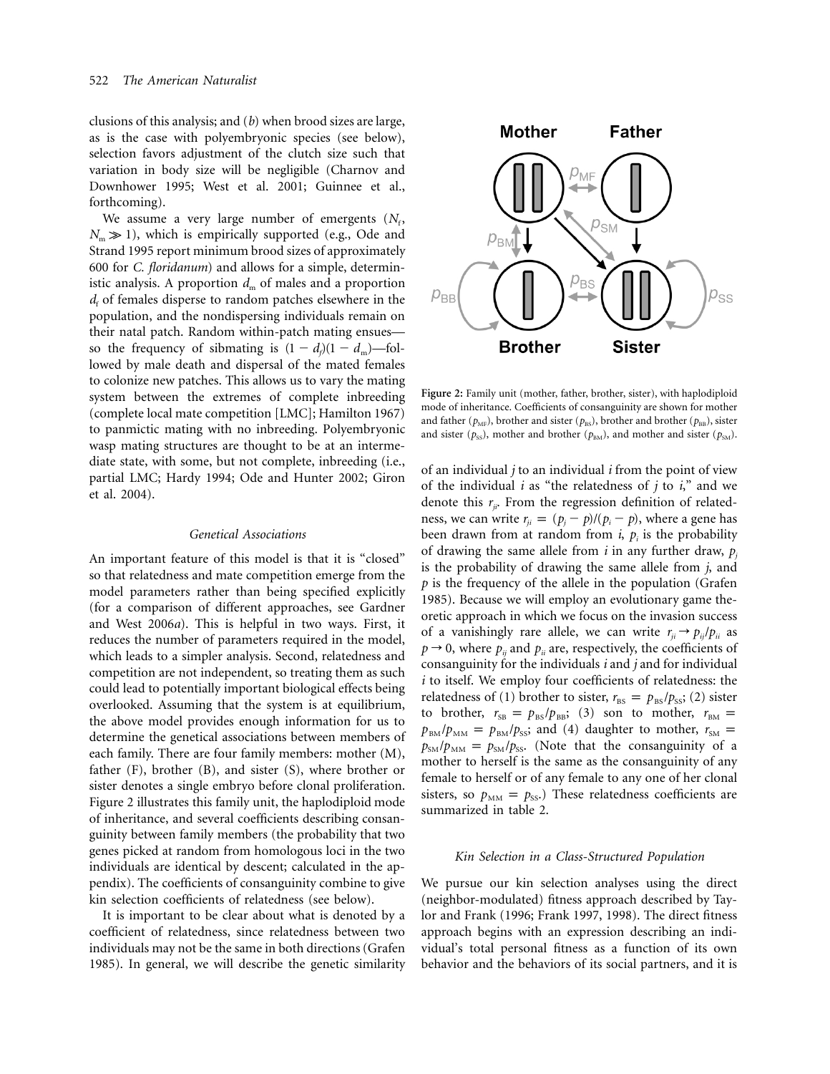clusions of this analysis; and (*b*) when brood sizes are large, as is the case with polyembryonic species (see below), selection favors adjustment of the clutch size such that variation in body size will be negligible (Charnov and Downhower 1995; West et al. 2001; Guinnee et al., forthcoming).

We assume a very large number of emergents  $(N_f,$  $N_m \gg 1$ ), which is empirically supported (e.g., Ode and Strand 1995 report minimum brood sizes of approximately 600 for *C. floridanum*) and allows for a simple, deterministic analysis. A proportion  $d<sub>m</sub>$  of males and a proportion  $d<sub>f</sub>$  of females disperse to random patches elsewhere in the population, and the nondispersing individuals remain on their natal patch. Random within-patch mating ensues so the frequency of sibmating is  $(1 - d_i)(1 - d_m)$ —followed by male death and dispersal of the mated females to colonize new patches. This allows us to vary the mating system between the extremes of complete inbreeding (complete local mate competition [LMC]; Hamilton 1967) to panmictic mating with no inbreeding. Polyembryonic wasp mating structures are thought to be at an intermediate state, with some, but not complete, inbreeding (i.e., partial LMC; Hardy 1994; Ode and Hunter 2002; Giron et al. 2004).

## *Genetical Associations*

An important feature of this model is that it is "closed" so that relatedness and mate competition emerge from the model parameters rather than being specified explicitly (for a comparison of different approaches, see Gardner and West 2006*a*). This is helpful in two ways. First, it reduces the number of parameters required in the model, which leads to a simpler analysis. Second, relatedness and competition are not independent, so treating them as such could lead to potentially important biological effects being overlooked. Assuming that the system is at equilibrium, the above model provides enough information for us to determine the genetical associations between members of each family. There are four family members: mother (M), father (F), brother (B), and sister (S), where brother or sister denotes a single embryo before clonal proliferation. Figure 2 illustrates this family unit, the haplodiploid mode of inheritance, and several coefficients describing consanguinity between family members (the probability that two genes picked at random from homologous loci in the two individuals are identical by descent; calculated in the appendix). The coefficients of consanguinity combine to give kin selection coefficients of relatedness (see below).

It is important to be clear about what is denoted by a coefficient of relatedness, since relatedness between two individuals may not be the same in both directions(Grafen 1985). In general, we will describe the genetic similarity



**Figure 2:** Family unit (mother, father, brother, sister), with haplodiploid mode of inheritance. Coefficients of consanguinity are shown for mother and father ( $p_{\text{MP}}$ ), brother and sister ( $p_{\text{BS}}$ ), brother and brother ( $p_{\text{BB}}$ ), sister and sister ( $p_{\text{ss}}$ ), mother and brother ( $p_{\text{BM}}$ ), and mother and sister ( $p_{\text{SM}}$ ).

of an individual *j* to an individual *i* from the point of view of the individual *i* as "the relatedness of *j* to *i*," and we denote this  $r_{ii}$ . From the regression definition of relatedness, we can write  $r_{ji} = (p_j - p)/(p_i - p)$ , where a gene has been drawn from at random from  $i$ ,  $p_i$  is the probability of drawing the same allele from  $i$  in any further draw,  $p_i$ is the probability of drawing the same allele from *j*, and *p* is the frequency of the allele in the population (Grafen 1985). Because we will employ an evolutionary game theoretic approach in which we focus on the invasion success of a vanishingly rare allele, we can write  $r_{ii} \rightarrow p_{ii}/p_{ii}$  as  $p \rightarrow 0$ , where  $p_{ij}$  and  $p_{ii}$  are, respectively, the coefficients of consanguinity for the individuals *i* and *j* and for individual *i* to itself. We employ four coefficients of relatedness: the relatedness of (1) brother to sister,  $r_{BS} = p_{BS}/p_{SS}$ ; (2) sister to brother,  $r_{SB} = p_{BS}/p_{BB}$ ; (3) son to mother,  $r_{BM} =$  $p_{BM}/p_{MM} = p_{BM}/p_{SS}$ ; and (4) daughter to mother,  $r_{SM}$  =  $p_{SM}/p_{MM} = p_{SM}/p_{SS}$ . (Note that the consanguinity of a mother to herself is the same as the consanguinity of any female to herself or of any female to any one of her clonal sisters, so  $p_{\text{MM}} = p_{\text{ss}}$ .) These relatedness coefficients are summarized in table 2.

## *Kin Selection in a Class-Structured Population*

We pursue our kin selection analyses using the direct (neighbor-modulated) fitness approach described by Taylor and Frank (1996; Frank 1997, 1998). The direct fitness approach begins with an expression describing an individual's total personal fitness as a function of its own behavior and the behaviors of its social partners, and it is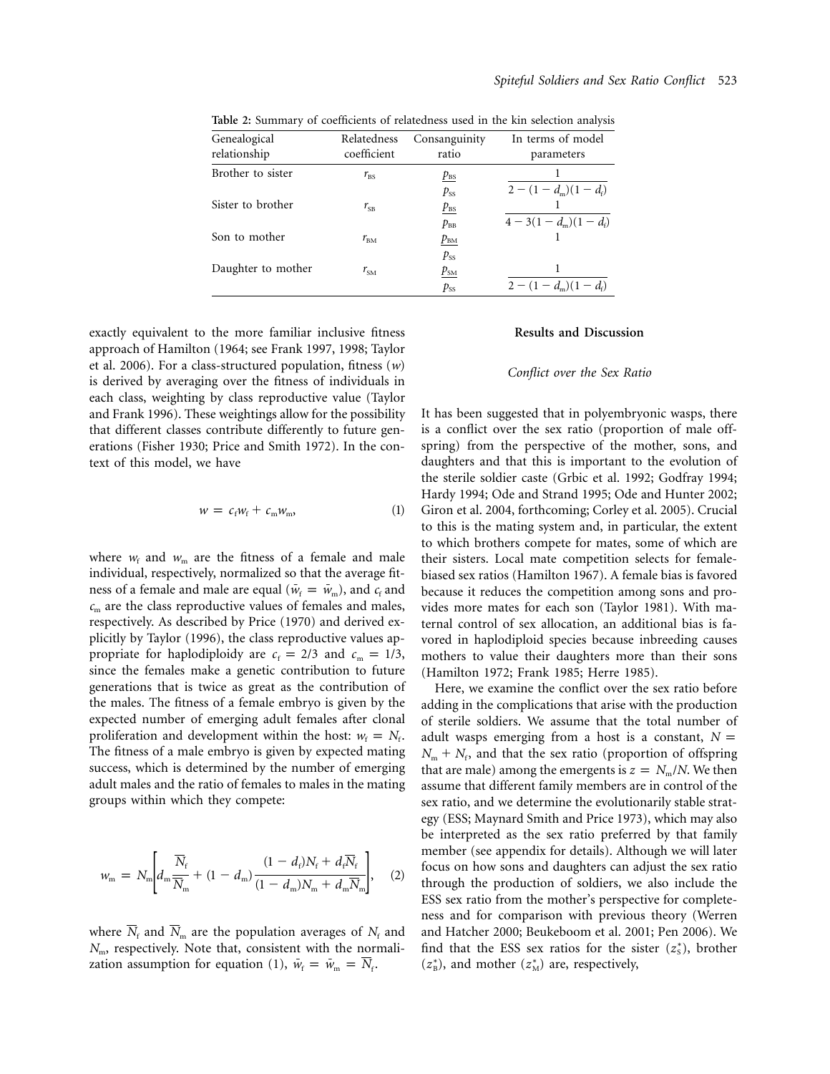| Genealogical<br>relationship | Relatedness<br>coefficient | Consanguinity<br>ratio                          | In terms of model<br>parameters |
|------------------------------|----------------------------|-------------------------------------------------|---------------------------------|
| Brother to sister            | $r_{\rm RS}$               | $p_{\rm{BS}}$                                   |                                 |
| Sister to brother            | $r_{SB}$                   | $p_{ss}$<br>$p_{\rm{BS}}$                       | $2-(1-d_{\rm m})(1-d_{\rm f})$  |
| Son to mother                | $r_{\rm BM}$               | $p_{BB}$<br>$p_{\scriptscriptstyle{\text{BM}}}$ | $4-3(1-d_m)(1-d_f)$             |
| Daughter to mother           | $r_{\rm SM}$               | $p_{ss}$<br>$p_{\rm sm}$<br>$p_{ss}$            | $2-(1-d_{\rm m})(1-d_{\rm f})$  |

**Table 2:** Summary of coefficients of relatedness used in the kin selection analysis

exactly equivalent to the more familiar inclusive fitness approach of Hamilton (1964; see Frank 1997, 1998; Taylor et al. 2006). For a class-structured population, fitness (*w*) is derived by averaging over the fitness of individuals in each class, weighting by class reproductive value (Taylor and Frank 1996). These weightings allow for the possibility that different classes contribute differently to future generations (Fisher 1930; Price and Smith 1972). In the context of this model, we have

$$
w = c_{\rm f} w_{\rm f} + c_{\rm m} w_{\rm m}, \tag{1}
$$

where  $w_f$  and  $w_m$  are the fitness of a female and male individual, respectively, normalized so that the average fitness of a female and male are equal ( $\bar{w}_f = \bar{w}_m$ ), and  $c_f$  and  $c<sub>m</sub>$  are the class reproductive values of females and males, respectively. As described by Price (1970) and derived explicitly by Taylor (1996), the class reproductive values appropriate for haplodiploidy are  $c_f = 2/3$  and  $c_m = 1/3$ , since the females make a genetic contribution to future generations that is twice as great as the contribution of the males. The fitness of a female embryo is given by the expected number of emerging adult females after clonal proliferation and development within the host:  $w_f = N_f$ . The fitness of a male embryo is given by expected mating success, which is determined by the number of emerging adult males and the ratio of females to males in the mating groups within which they compete:

$$
w_{\rm m} = N_{\rm m} \left[ d_{\rm m} \frac{\overline{N}_{\rm f}}{\overline{N}_{\rm m}} + (1 - d_{\rm m}) \frac{(1 - d_{\rm f})N_{\rm f} + d_{\rm f} \overline{N}_{\rm f}}{(1 - d_{\rm m})N_{\rm m} + d_{\rm m} \overline{N}_{\rm m}} \right], \quad (2)
$$

where  $\overline{N}_{\text{f}}$  and  $\overline{N}_{\text{m}}$  are the population averages of  $N_{\text{f}}$  and  $N<sub>m</sub>$ , respectively. Note that, consistent with the normalization assumption for equation (1),  $\bar{w}_{\rm f} = \bar{w}_{\rm m} = \overline{N}_{\rm f}$ .

# **Results and Discussion**

## *Conflict over the Sex Ratio*

It has been suggested that in polyembryonic wasps, there is a conflict over the sex ratio (proportion of male offspring) from the perspective of the mother, sons, and daughters and that this is important to the evolution of the sterile soldier caste (Grbic et al. 1992; Godfray 1994; Hardy 1994; Ode and Strand 1995; Ode and Hunter 2002; Giron et al. 2004, forthcoming; Corley et al. 2005). Crucial to this is the mating system and, in particular, the extent to which brothers compete for mates, some of which are their sisters. Local mate competition selects for femalebiased sex ratios (Hamilton 1967). A female bias is favored because it reduces the competition among sons and provides more mates for each son (Taylor 1981). With maternal control of sex allocation, an additional bias is favored in haplodiploid species because inbreeding causes mothers to value their daughters more than their sons (Hamilton 1972; Frank 1985; Herre 1985).

Here, we examine the conflict over the sex ratio before adding in the complications that arise with the production of sterile soldiers. We assume that the total number of adult wasps emerging from a host is a constant,  $N =$  $N_m + N_f$ , and that the sex ratio (proportion of offspring that are male) among the emergents is  $z = N_m/N$ . We then assume that different family members are in control of the sex ratio, and we determine the evolutionarily stable strategy (ESS; Maynard Smith and Price 1973), which may also be interpreted as the sex ratio preferred by that family member (see appendix for details). Although we will later focus on how sons and daughters can adjust the sex ratio through the production of soldiers, we also include the ESS sex ratio from the mother's perspective for completeness and for comparison with previous theory (Werren and Hatcher 2000; Beukeboom et al. 2001; Pen 2006). We find that the ESS sex ratios for the sister  $(z<sub>s</sub><sup>*</sup>)$ , brother  $(z_{\rm B}^*)$ , and mother  $(z_{\rm M}^*)$  are, respectively,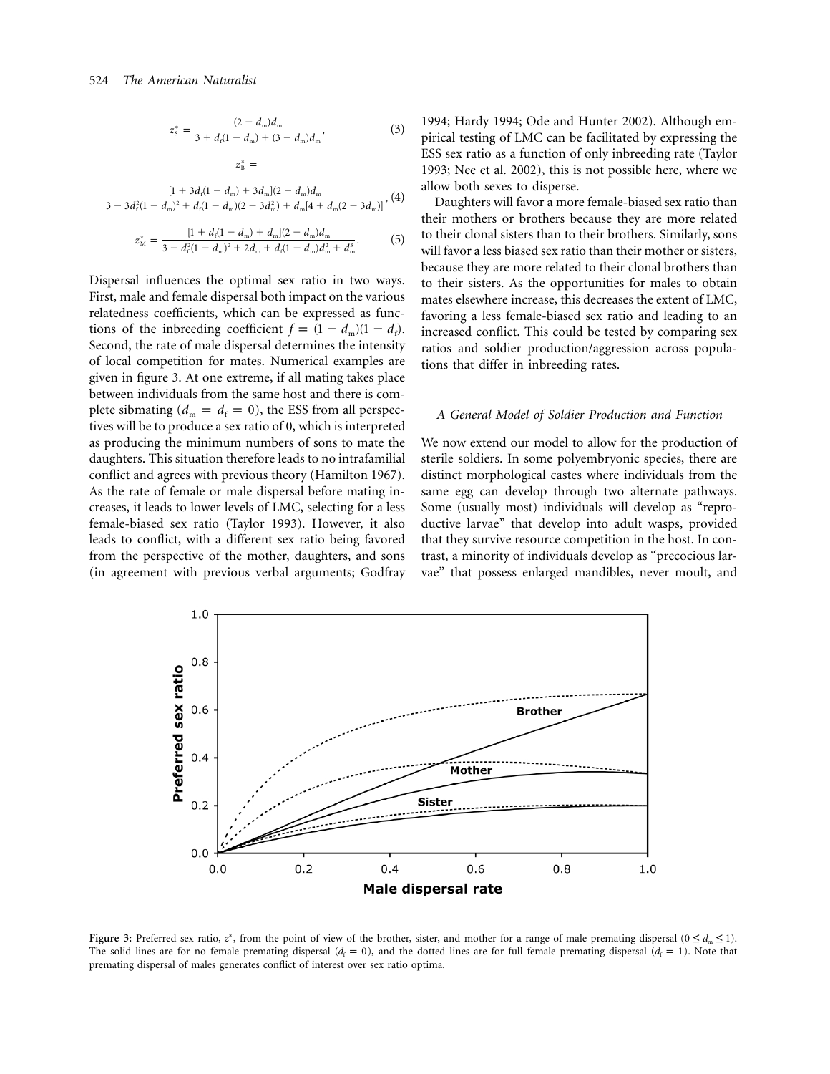$$
z_{\rm s}^* = \frac{(2-d_{\rm m})d_{\rm m}}{3 + d_{\rm f}(1-d_{\rm m}) + (3-d_{\rm m})d_{\rm m}},\tag{3}
$$

$$
\frac{[1+3d_{\rm f}(1-d_{\rm m})+3d_{\rm m}](2-d_{\rm m})d_{\rm m}}{3-3d_{\rm f}^2(1-d_{\rm m})^2+d_{\rm f}(1-d_{\rm m})(2-3d_{\rm m}^2)+d_{\rm m}[4+d_{\rm m}(2-3d_{\rm m})]},(4)
$$

 $z_B^* =$ 

$$
z_{\scriptscriptstyle{\rm M}}^* = \frac{[1+d_{\scriptscriptstyle{\rm f}}(1-d_{\scriptscriptstyle{\rm m}})+d_{\scriptscriptstyle{\rm m}}](2-d_{\scriptscriptstyle{\rm m}})d_{\scriptscriptstyle{\rm m}}}{3-d_{\scriptscriptstyle{\rm f}}^2(1-d_{\scriptscriptstyle{\rm m}})^2+2d_{\scriptscriptstyle{\rm m}}+d_{\scriptscriptstyle{\rm f}}(1-d_{\scriptscriptstyle{\rm m}})d_{\scriptscriptstyle{\rm m}}^2+d_{\scriptscriptstyle{\rm n}}^3}.
$$
 (5)

Dispersal influences the optimal sex ratio in two ways. First, male and female dispersal both impact on the various relatedness coefficients, which can be expressed as functions of the inbreeding coefficient  $f = (1 - d_m)(1 - d_f)$ . Second, the rate of male dispersal determines the intensity of local competition for mates. Numerical examples are given in figure 3. At one extreme, if all mating takes place between individuals from the same host and there is complete sibmating ( $d_m = d_f = 0$ ), the ESS from all perspectives will be to produce a sex ratio of 0, which is interpreted as producing the minimum numbers of sons to mate the daughters. This situation therefore leads to no intrafamilial conflict and agrees with previous theory (Hamilton 1967). As the rate of female or male dispersal before mating increases, it leads to lower levels of LMC, selecting for a less female-biased sex ratio (Taylor 1993). However, it also leads to conflict, with a different sex ratio being favored from the perspective of the mother, daughters, and sons (in agreement with previous verbal arguments; Godfray

1994; Hardy 1994; Ode and Hunter 2002). Although empirical testing of LMC can be facilitated by expressing the ESS sex ratio as a function of only inbreeding rate (Taylor 1993; Nee et al. 2002), this is not possible here, where we allow both sexes to disperse.

Daughters will favor a more female-biased sex ratio than their mothers or brothers because they are more related to their clonal sisters than to their brothers. Similarly, sons will favor a less biased sex ratio than their mother or sisters, because they are more related to their clonal brothers than to their sisters. As the opportunities for males to obtain mates elsewhere increase, this decreases the extent of LMC, favoring a less female-biased sex ratio and leading to an increased conflict. This could be tested by comparing sex ratios and soldier production/aggression across populations that differ in inbreeding rates.

#### *A General Model of Soldier Production and Function*

We now extend our model to allow for the production of sterile soldiers. In some polyembryonic species, there are distinct morphological castes where individuals from the same egg can develop through two alternate pathways. Some (usually most) individuals will develop as "reproductive larvae" that develop into adult wasps, provided that they survive resource competition in the host. In contrast, a minority of individuals develop as "precocious larvae" that possess enlarged mandibles, never moult, and



**Figure** 3: Preferred sex ratio,  $z^*$ , from the point of view of the brother, sister, and mother for a range of male premating dispersal ( $0 \le d_m \le 1$ ). The solid lines are for no female premating dispersal ( $d_f = 0$ ), and the dotted lines are for full female premating dispersal ( $d_f = 1$ ). Note that premating dispersal of males generates conflict of interest over sex ratio optima.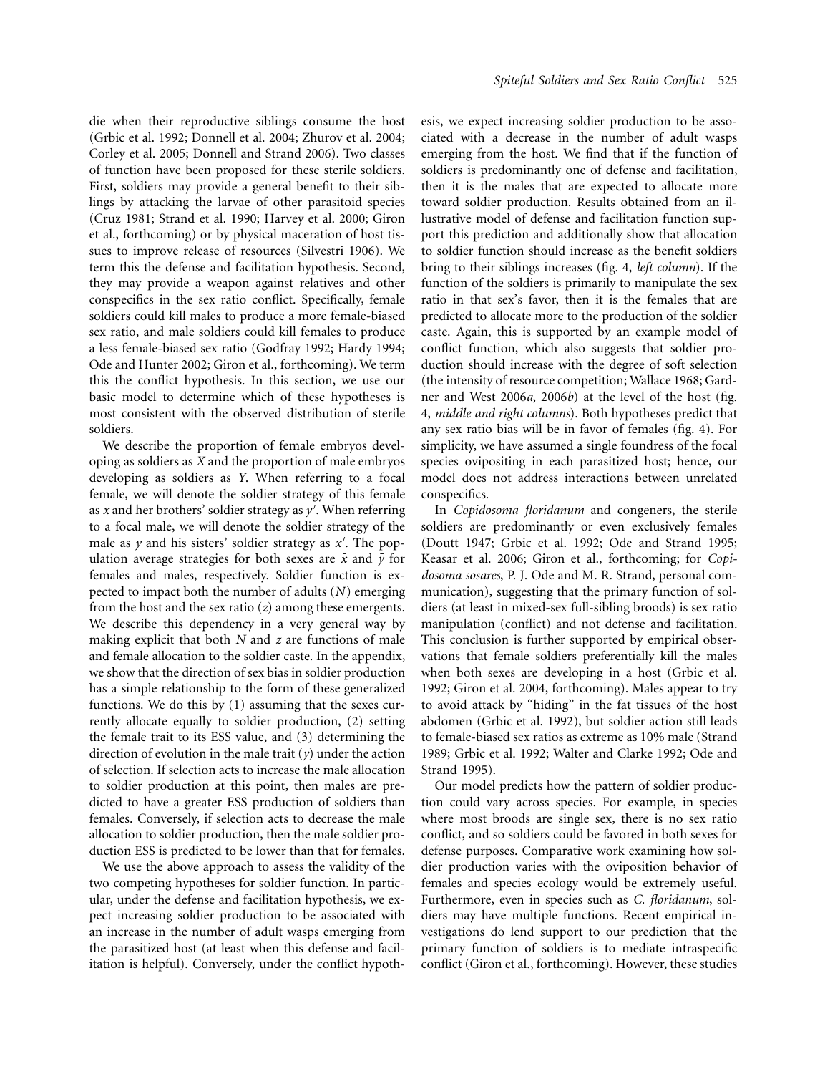die when their reproductive siblings consume the host (Grbic et al. 1992; Donnell et al. 2004; Zhurov et al. 2004; Corley et al. 2005; Donnell and Strand 2006). Two classes of function have been proposed for these sterile soldiers. First, soldiers may provide a general benefit to their siblings by attacking the larvae of other parasitoid species (Cruz 1981; Strand et al. 1990; Harvey et al. 2000; Giron et al., forthcoming) or by physical maceration of host tissues to improve release of resources (Silvestri 1906). We term this the defense and facilitation hypothesis. Second, they may provide a weapon against relatives and other conspecifics in the sex ratio conflict. Specifically, female soldiers could kill males to produce a more female-biased sex ratio, and male soldiers could kill females to produce a less female-biased sex ratio (Godfray 1992; Hardy 1994; Ode and Hunter 2002; Giron et al., forthcoming). We term this the conflict hypothesis. In this section, we use our basic model to determine which of these hypotheses is most consistent with the observed distribution of sterile soldiers.

We describe the proportion of female embryos developing as soldiers as *X* and the proportion of male embryos developing as soldiers as *Y*. When referring to a focal female, we will denote the soldier strategy of this female as *x* and her brothers' soldier strategy as  $y'$ . When referring to a focal male, we will denote the soldier strategy of the male as  $\gamma$  and his sisters' soldier strategy as  $x'$ . The population average strategies for both sexes are  $\bar{x}$  and  $\bar{y}$  for females and males, respectively. Soldier function is expected to impact both the number of adults (*N*) emerging from the host and the sex ratio (*z*) among these emergents. We describe this dependency in a very general way by making explicit that both *N* and *z* are functions of male and female allocation to the soldier caste. In the appendix, we show that the direction of sex bias in soldier production has a simple relationship to the form of these generalized functions. We do this by (1) assuming that the sexes currently allocate equally to soldier production, (2) setting the female trait to its ESS value, and (3) determining the direction of evolution in the male trait (*y*) under the action of selection. If selection acts to increase the male allocation to soldier production at this point, then males are predicted to have a greater ESS production of soldiers than females. Conversely, if selection acts to decrease the male allocation to soldier production, then the male soldier production ESS is predicted to be lower than that for females.

We use the above approach to assess the validity of the two competing hypotheses for soldier function. In particular, under the defense and facilitation hypothesis, we expect increasing soldier production to be associated with an increase in the number of adult wasps emerging from the parasitized host (at least when this defense and facilitation is helpful). Conversely, under the conflict hypothesis, we expect increasing soldier production to be associated with a decrease in the number of adult wasps emerging from the host. We find that if the function of soldiers is predominantly one of defense and facilitation, then it is the males that are expected to allocate more toward soldier production. Results obtained from an illustrative model of defense and facilitation function support this prediction and additionally show that allocation to soldier function should increase as the benefit soldiers bring to their siblings increases (fig. 4, *left column*). If the function of the soldiers is primarily to manipulate the sex ratio in that sex's favor, then it is the females that are predicted to allocate more to the production of the soldier caste. Again, this is supported by an example model of conflict function, which also suggests that soldier production should increase with the degree of soft selection (the intensity of resource competition; Wallace 1968; Gardner and West 2006*a*, 2006*b*) at the level of the host (fig. 4, *middle and right columns*). Both hypotheses predict that any sex ratio bias will be in favor of females (fig. 4). For simplicity, we have assumed a single foundress of the focal species ovipositing in each parasitized host; hence, our model does not address interactions between unrelated conspecifics.

In *Copidosoma floridanum* and congeners, the sterile soldiers are predominantly or even exclusively females (Doutt 1947; Grbic et al. 1992; Ode and Strand 1995; Keasar et al. 2006; Giron et al., forthcoming; for *Copidosoma sosares*, P. J. Ode and M. R. Strand, personal communication), suggesting that the primary function of soldiers (at least in mixed-sex full-sibling broods) is sex ratio manipulation (conflict) and not defense and facilitation. This conclusion is further supported by empirical observations that female soldiers preferentially kill the males when both sexes are developing in a host (Grbic et al. 1992; Giron et al. 2004, forthcoming). Males appear to try to avoid attack by "hiding" in the fat tissues of the host abdomen (Grbic et al. 1992), but soldier action still leads to female-biased sex ratios as extreme as 10% male (Strand 1989; Grbic et al. 1992; Walter and Clarke 1992; Ode and Strand 1995).

Our model predicts how the pattern of soldier production could vary across species. For example, in species where most broods are single sex, there is no sex ratio conflict, and so soldiers could be favored in both sexes for defense purposes. Comparative work examining how soldier production varies with the oviposition behavior of females and species ecology would be extremely useful. Furthermore, even in species such as *C. floridanum*, soldiers may have multiple functions. Recent empirical investigations do lend support to our prediction that the primary function of soldiers is to mediate intraspecific conflict (Giron et al., forthcoming). However, these studies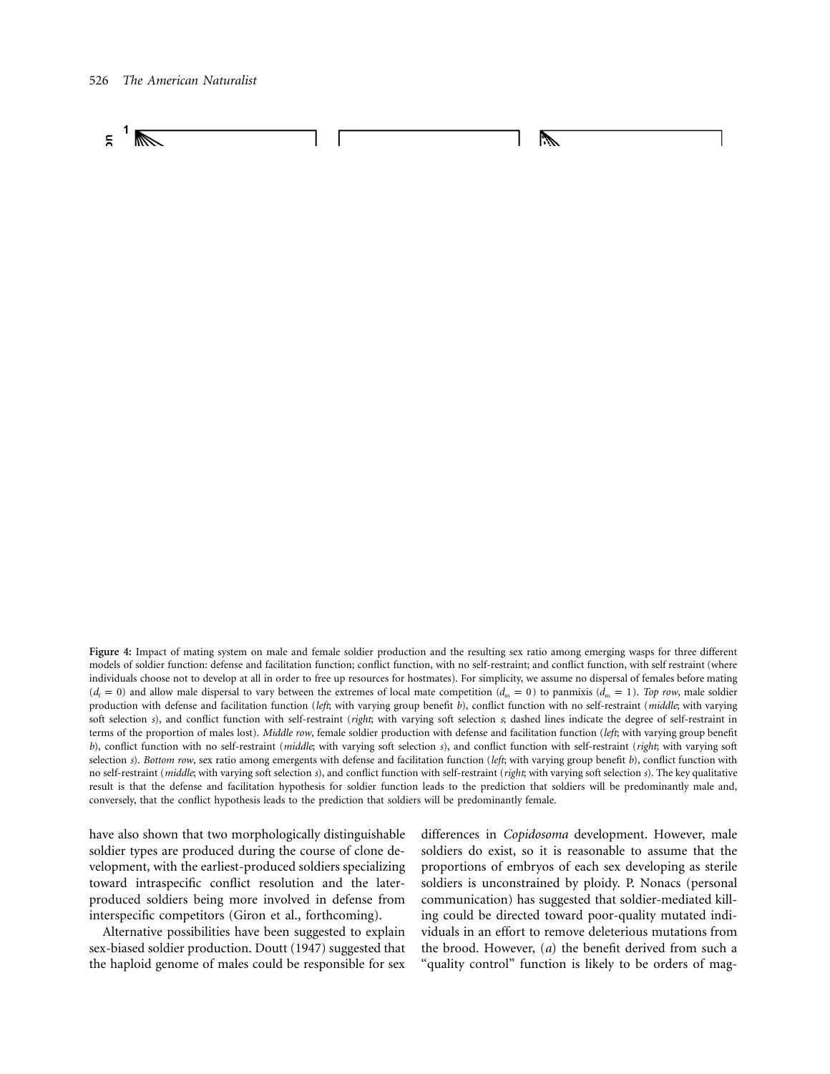# 526 *The American Naturalist*

**Figure 4:** Impact of mating system on male and female soldier production and the resulting sex ratio among emerging wasps for three different models of soldier function: defense and facilitation function; conflict function, with no self-restraint; and conflict function, with self restraint (where individuals choose not to develop at all in order to free up resources for hostmates). For simplicity, we assume no dispersal of females before mating  $(d_f = 0)$  and allow male dispersal to vary between the extremes of local mate competition  $(d_m = 0)$  to panmixis  $(d_m = 1)$ . *Top row*, male soldier production with defense and facilitation function (*left*; with varying group benefit *b*), conflict function with no self-restraint (*middle*; with varying soft selection *s*), and conflict function with self-restraint (*right*; with varying soft selection *s*; dashed lines indicate the degree of self-restraint in terms of the proportion of males lost). *Middle row*, female soldier production with defense and facilitation function (*left*; with varying group benefit *b*), conflict function with no self-restraint (*middle*; with varying soft selection *s*), and conflict function with self-restraint (*right*; with varying soft selection *s*). *Bottom row*, sex ratio among emergents with defense and facilitation function (*left*; with varying group benefit *b*), conflict function with no self-restraint (*middle*; with varying soft selection *s*), and conflict function with self-restraint (*right*; with varying soft selection *s*). The key qualitative result is that the defense and facilitation hypothesis for soldier function leads to the prediction that soldiers will be predominantly male and, conversely, that the conflict hypothesis leads to the prediction that soldiers will be predominantly female.

have also shown that two morphologically distinguishable soldier types are produced during the course of clone development, with the earliest-produced soldiers specializing toward intraspecific conflict resolution and the laterproduced soldiers being more involved in defense from interspecific competitors (Giron et al., forthcoming).

Alternative possibilities have been suggested to explain sex-biased soldier production. Doutt (1947) suggested that the haploid genome of males could be responsible for sex

differences in *Copidosoma* development. However, male soldiers do exist, so it is reasonable to assume that the proportions of embryos of each sex developing as sterile soldiers is unconstrained by ploidy. P. Nonacs (personal communication) has suggested that soldier-mediated killing could be directed toward poor-quality mutated individuals in an effort to remove deleterious mutations from the brood. However, (*a*) the benefit derived from such a "quality control" function is likely to be orders of mag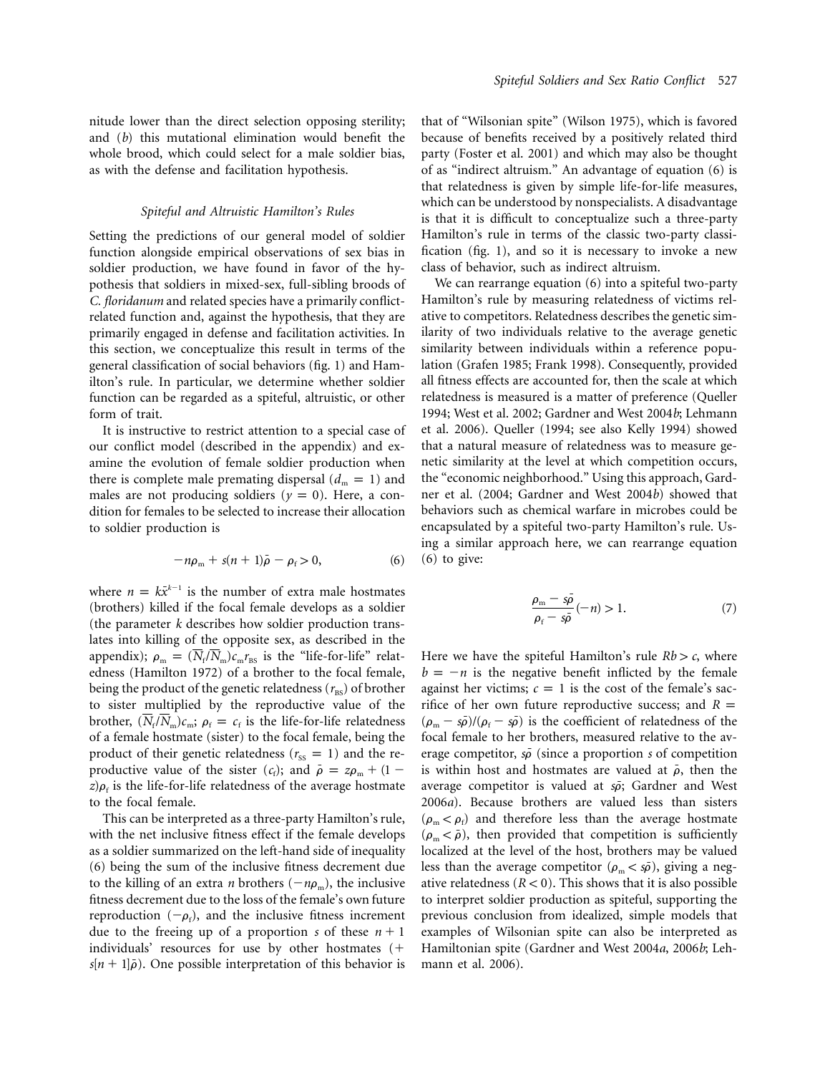nitude lower than the direct selection opposing sterility; and (*b*) this mutational elimination would benefit the whole brood, which could select for a male soldier bias, as with the defense and facilitation hypothesis.

## *Spiteful and Altruistic Hamilton's Rules*

Setting the predictions of our general model of soldier function alongside empirical observations of sex bias in soldier production, we have found in favor of the hypothesis that soldiers in mixed-sex, full-sibling broods of *C. floridanum* and related species have a primarily conflictrelated function and, against the hypothesis, that they are primarily engaged in defense and facilitation activities. In this section, we conceptualize this result in terms of the general classification of social behaviors (fig. 1) and Hamilton's rule. In particular, we determine whether soldier function can be regarded as a spiteful, altruistic, or other form of trait.

It is instructive to restrict attention to a special case of our conflict model (described in the appendix) and examine the evolution of female soldier production when there is complete male premating dispersal  $(d_m = 1)$  and males are not producing soldiers  $(y = 0)$ . Here, a condition for females to be selected to increase their allocation to soldier production is

$$
-n\rho_{\rm m} + s(n+1)\bar{\rho} - \rho_{\rm f} > 0, \qquad (6)
$$

where  $n = k\bar{x}^{k-1}$  is the number of extra male hostmates (brothers) killed if the focal female develops as a soldier (the parameter *k* describes how soldier production translates into killing of the opposite sex, as described in the appendix);  $\rho_m = (\overline{N_f}/\overline{N_m})c_m r_{BS}$  is the "life-for-life" relatedness (Hamilton 1972) of a brother to the focal female, being the product of the genetic relatedness  $(r_{BS})$  of brother to sister multiplied by the reproductive value of the brother,  $(\overline{N_f}/\overline{N_m})c_m$ ;  $\rho_f = c_f$  is the life-for-life relatedness of a female hostmate (sister) to the focal female, being the product of their genetic relatedness ( $r_{ss} = 1$ ) and the reproductive value of the sister  $(c_f)$ ; and  $\bar{\rho} = z\rho_m + (1 - \bar{\rho})$  $z/\rho_f$  is the life-for-life relatedness of the average hostmate to the focal female.

This can be interpreted as a three-party Hamilton's rule, with the net inclusive fitness effect if the female develops as a soldier summarized on the left-hand side of inequality (6) being the sum of the inclusive fitness decrement due to the killing of an extra *n* brothers  $(-n\rho_m)$ , the inclusive fitness decrement due to the loss of the female's own future reproduction  $(-\rho_f)$ , and the inclusive fitness increment due to the freeing up of a proportion *s* of these  $n + 1$ individuals' resources for use by other hostmates  $(+)$  $s[n+1]\bar{\rho}$ ). One possible interpretation of this behavior is

that of "Wilsonian spite" (Wilson 1975), which is favored because of benefits received by a positively related third party (Foster et al. 2001) and which may also be thought of as "indirect altruism." An advantage of equation (6) is that relatedness is given by simple life-for-life measures, which can be understood by nonspecialists. A disadvantage is that it is difficult to conceptualize such a three-party Hamilton's rule in terms of the classic two-party classification (fig. 1), and so it is necessary to invoke a new class of behavior, such as indirect altruism.

We can rearrange equation (6) into a spiteful two-party Hamilton's rule by measuring relatedness of victims relative to competitors. Relatedness describes the genetic similarity of two individuals relative to the average genetic similarity between individuals within a reference population (Grafen 1985; Frank 1998). Consequently, provided all fitness effects are accounted for, then the scale at which relatedness is measured is a matter of preference (Queller 1994; West et al. 2002; Gardner and West 2004*b*; Lehmann et al. 2006). Queller (1994; see also Kelly 1994) showed that a natural measure of relatedness was to measure genetic similarity at the level at which competition occurs, the "economic neighborhood." Using this approach, Gardner et al. (2004; Gardner and West 2004*b*) showed that behaviors such as chemical warfare in microbes could be encapsulated by a spiteful two-party Hamilton's rule. Using a similar approach here, we can rearrange equation (6) to give:

$$
\frac{\rho_{\rm m} - s\bar{\rho}}{\rho_{\rm f} - s\bar{\rho}} (-n) > 1.
$$
\n(7)

Here we have the spiteful Hamilton's rule  $Rb > c$ , where  $b = -n$  is the negative benefit inflicted by the female against her victims;  $c = 1$  is the cost of the female's sacrifice of her own future reproductive success; and  $R =$  $(\rho_m - s\bar{\rho})/(\rho_f - s\bar{\rho})$  is the coefficient of relatedness of the focal female to her brothers, measured relative to the average competitor,  $s\bar{\rho}$  (since a proportion  $s$  of competition is within host and hostmates are valued at  $\bar{\rho}$ , then the average competitor is valued at *s* $\bar{\rho}$ ; Gardner and West 2006*a*). Because brothers are valued less than sisters  $(\rho_m < \rho_f)$  and therefore less than the average hostmate  $(\rho_m < \bar{\rho})$ , then provided that competition is sufficiently localized at the level of the host, brothers may be valued less than the average competitor ( $\rho_m < s\bar{\rho}$ ), giving a negative relatedness  $(R < 0)$ . This shows that it is also possible to interpret soldier production as spiteful, supporting the previous conclusion from idealized, simple models that examples of Wilsonian spite can also be interpreted as Hamiltonian spite (Gardner and West 2004*a*, 2006*b*; Lehmann et al. 2006).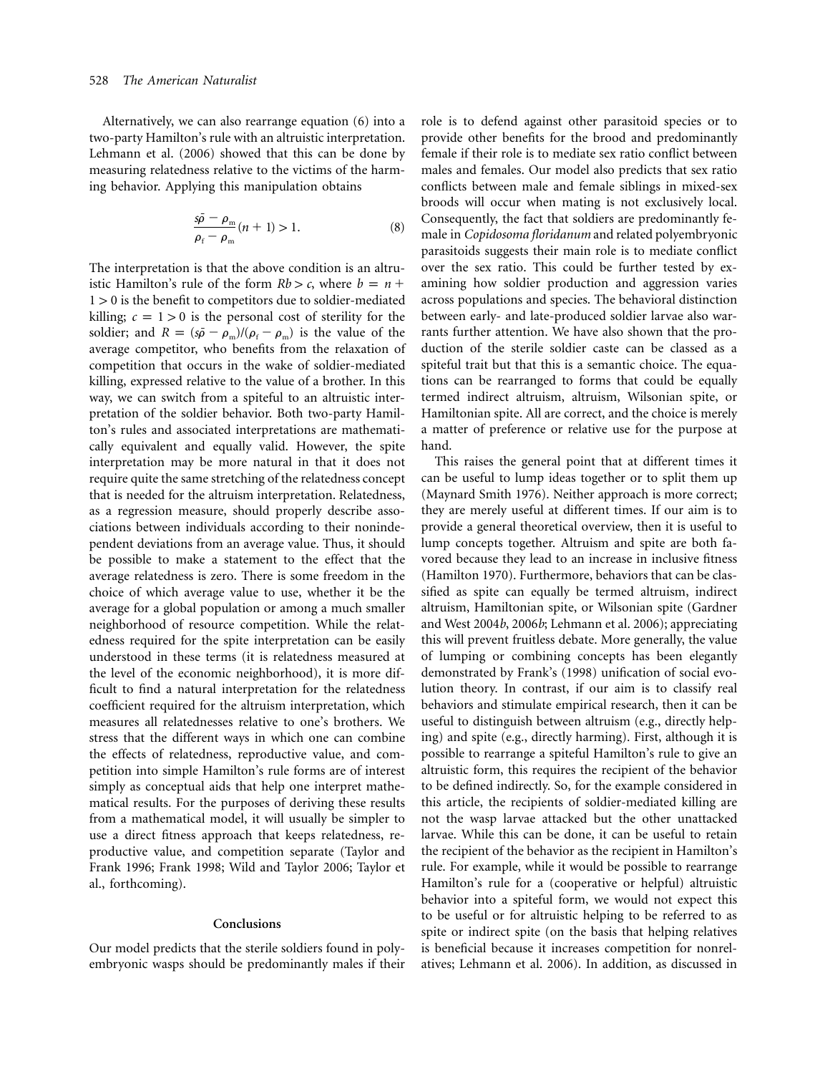Alternatively, we can also rearrange equation (6) into a two-party Hamilton's rule with an altruistic interpretation. Lehmann et al. (2006) showed that this can be done by measuring relatedness relative to the victims of the harming behavior. Applying this manipulation obtains

$$
\frac{s\bar{\rho} - \rho_{\rm m}}{\rho_{\rm f} - \rho_{\rm m}} (n+1) > 1.
$$
 (8)

The interpretation is that the above condition is an altruistic Hamilton's rule of the form  $Rb > c$ , where  $b = n + c$  $1 > 0$  is the benefit to competitors due to soldier-mediated killing;  $c = 1 > 0$  is the personal cost of sterility for the soldier; and  $R = (s\bar{\rho} - \rho_m)/(\rho_f - \rho_m)$  is the value of the average competitor, who benefits from the relaxation of competition that occurs in the wake of soldier-mediated killing, expressed relative to the value of a brother. In this way, we can switch from a spiteful to an altruistic interpretation of the soldier behavior. Both two-party Hamilton's rules and associated interpretations are mathematically equivalent and equally valid. However, the spite interpretation may be more natural in that it does not require quite the same stretching of the relatedness concept that is needed for the altruism interpretation. Relatedness, as a regression measure, should properly describe associations between individuals according to their nonindependent deviations from an average value. Thus, it should be possible to make a statement to the effect that the average relatedness is zero. There is some freedom in the choice of which average value to use, whether it be the average for a global population or among a much smaller neighborhood of resource competition. While the relatedness required for the spite interpretation can be easily understood in these terms (it is relatedness measured at the level of the economic neighborhood), it is more difficult to find a natural interpretation for the relatedness coefficient required for the altruism interpretation, which measures all relatednesses relative to one's brothers. We stress that the different ways in which one can combine the effects of relatedness, reproductive value, and competition into simple Hamilton's rule forms are of interest simply as conceptual aids that help one interpret mathematical results. For the purposes of deriving these results from a mathematical model, it will usually be simpler to use a direct fitness approach that keeps relatedness, reproductive value, and competition separate (Taylor and Frank 1996; Frank 1998; Wild and Taylor 2006; Taylor et al., forthcoming).

## **Conclusions**

Our model predicts that the sterile soldiers found in polyembryonic wasps should be predominantly males if their role is to defend against other parasitoid species or to provide other benefits for the brood and predominantly female if their role is to mediate sex ratio conflict between males and females. Our model also predicts that sex ratio conflicts between male and female siblings in mixed-sex broods will occur when mating is not exclusively local. Consequently, the fact that soldiers are predominantly female in *Copidosoma floridanum* and related polyembryonic parasitoids suggests their main role is to mediate conflict over the sex ratio. This could be further tested by examining how soldier production and aggression varies across populations and species. The behavioral distinction between early- and late-produced soldier larvae also warrants further attention. We have also shown that the production of the sterile soldier caste can be classed as a spiteful trait but that this is a semantic choice. The equations can be rearranged to forms that could be equally termed indirect altruism, altruism, Wilsonian spite, or Hamiltonian spite. All are correct, and the choice is merely a matter of preference or relative use for the purpose at hand.

This raises the general point that at different times it can be useful to lump ideas together or to split them up (Maynard Smith 1976). Neither approach is more correct; they are merely useful at different times. If our aim is to provide a general theoretical overview, then it is useful to lump concepts together. Altruism and spite are both favored because they lead to an increase in inclusive fitness (Hamilton 1970). Furthermore, behaviors that can be classified as spite can equally be termed altruism, indirect altruism, Hamiltonian spite, or Wilsonian spite (Gardner and West 2004*b*, 2006*b*; Lehmann et al. 2006); appreciating this will prevent fruitless debate. More generally, the value of lumping or combining concepts has been elegantly demonstrated by Frank's (1998) unification of social evolution theory. In contrast, if our aim is to classify real behaviors and stimulate empirical research, then it can be useful to distinguish between altruism (e.g., directly helping) and spite (e.g., directly harming). First, although it is possible to rearrange a spiteful Hamilton's rule to give an altruistic form, this requires the recipient of the behavior to be defined indirectly. So, for the example considered in this article, the recipients of soldier-mediated killing are not the wasp larvae attacked but the other unattacked larvae. While this can be done, it can be useful to retain the recipient of the behavior as the recipient in Hamilton's rule. For example, while it would be possible to rearrange Hamilton's rule for a (cooperative or helpful) altruistic behavior into a spiteful form, we would not expect this to be useful or for altruistic helping to be referred to as spite or indirect spite (on the basis that helping relatives is beneficial because it increases competition for nonrelatives; Lehmann et al. 2006). In addition, as discussed in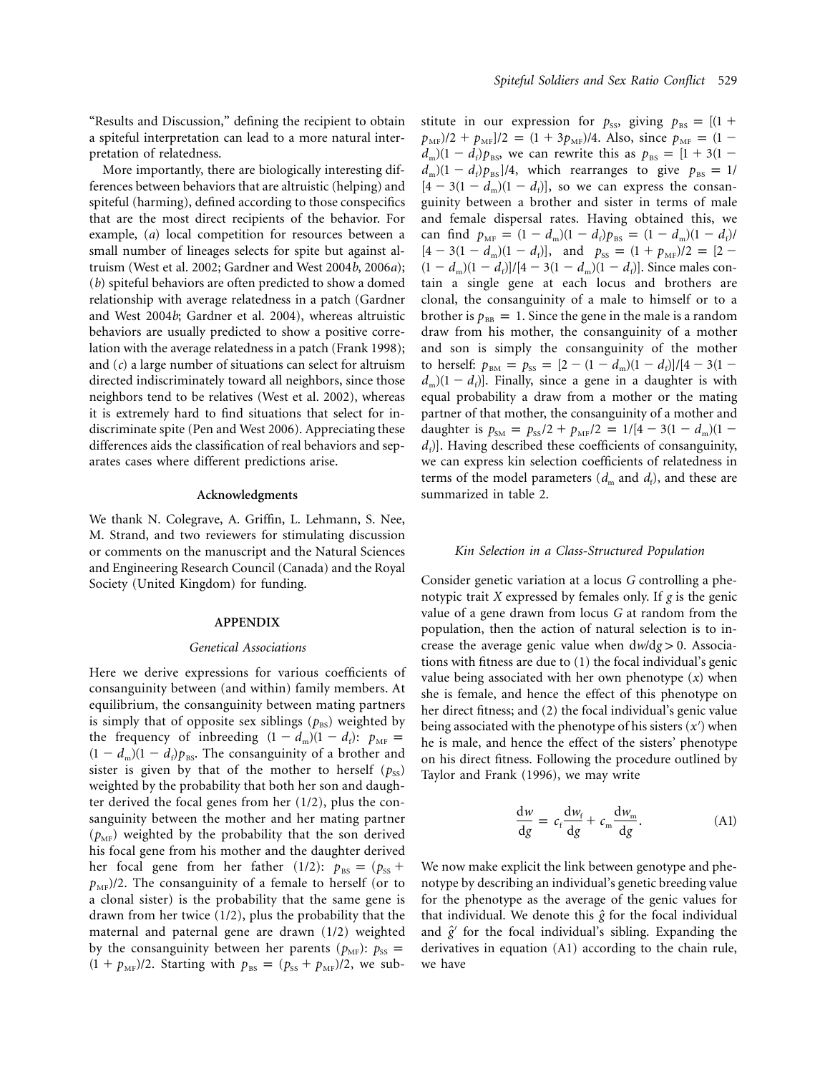"Results and Discussion," defining the recipient to obtain a spiteful interpretation can lead to a more natural interpretation of relatedness.

More importantly, there are biologically interesting differences between behaviors that are altruistic (helping) and spiteful (harming), defined according to those conspecifics that are the most direct recipients of the behavior. For example, (*a*) local competition for resources between a small number of lineages selects for spite but against altruism (West et al. 2002; Gardner and West 2004*b*, 2006*a*); (*b*) spiteful behaviors are often predicted to show a domed relationship with average relatedness in a patch (Gardner and West 2004*b*; Gardner et al. 2004), whereas altruistic behaviors are usually predicted to show a positive correlation with the average relatedness in a patch (Frank 1998); and (*c*) a large number of situations can select for altruism directed indiscriminately toward all neighbors, since those neighbors tend to be relatives (West et al. 2002), whereas it is extremely hard to find situations that select for indiscriminate spite (Pen and West 2006). Appreciating these differences aids the classification of real behaviors and separates cases where different predictions arise.

## **Acknowledgments**

We thank N. Colegrave, A. Griffin, L. Lehmann, S. Nee, M. Strand, and two reviewers for stimulating discussion or comments on the manuscript and the Natural Sciences and Engineering Research Council (Canada) and the Royal Society (United Kingdom) for funding.

#### **APPENDIX**

#### *Genetical Associations*

Here we derive expressions for various coefficients of consanguinity between (and within) family members. At equilibrium, the consanguinity between mating partners is simply that of opposite sex siblings  $(p_{BS})$  weighted by the frequency of inbreeding  $(1 - d_m)(1 - d_f)$ :  $p_{MF}$  =  $(1 - d<sub>m</sub>)(1 - d<sub>f</sub>)p<sub>BS</sub>$ . The consanguinity of a brother and sister is given by that of the mother to herself  $(p_{ss})$ weighted by the probability that both her son and daughter derived the focal genes from her (1/2), plus the consanguinity between the mother and her mating partner  $(p<sub>MF</sub>)$  weighted by the probability that the son derived his focal gene from his mother and the daughter derived her focal gene from her father (1/2):  $p_{BS} = (p_{SS} + p_{SS})$  $p<sub>MF</sub>$ )/2. The consanguinity of a female to herself (or to a clonal sister) is the probability that the same gene is drawn from her twice (1/2), plus the probability that the maternal and paternal gene are drawn (1/2) weighted by the consanguinity between her parents ( $p_{\text{MF}}$ ):  $p_{\text{ss}} =$  $(1 + p_{MF})/2$ . Starting with  $p_{BS} = (p_{SS} + p_{MF})/2$ , we substitute in our expression for  $p_{ss}$ , giving  $p_{BS} = [(1 +$  $p_{\text{MF}}/2 + p_{\text{MF}}/2 = (1 + 3p_{\text{MF}})/4$ . Also, since  $p_{\text{MF}} = (1$  $d_{\rm m}$ )(1 –  $d_{\rm f}$ ) $p_{\rm BS}$ , we can rewrite this as  $p_{\rm BS} = [1 + 3(1$  $d_m$ )(1 –  $d_f$ ) $p_{BS}$ ]/4, which rearranges to give  $p_{BS} = 1/2$  $[4 - 3(1 - d<sub>m</sub>)(1 - d<sub>f</sub>)]$ , so we can express the consanguinity between a brother and sister in terms of male and female dispersal rates. Having obtained this, we can find  $p_{MF} = (1 - d_m)(1 - d_f)p_{BS} = (1 - d_m)(1 - d_f)$  $[4 - 3(1 - d_m)(1 - d_f)],$  and  $p_{ss} = (1 + p_{MF})/2 = [2 (1 - d_m)(1 - d_f)/[4 - 3(1 - d_m)(1 - d_f)]$ . Since males contain a single gene at each locus and brothers are clonal, the consanguinity of a male to himself or to a brother is  $p_{BB} = 1$ . Since the gene in the male is a random draw from his mother, the consanguinity of a mother and son is simply the consanguinity of the mother to herself:  $p_{BM} = p_{SS} = [2 - (1 - d_m)(1 - d_f)]/[4 - 3(1$  $d<sub>m</sub>$ )(1 –  $d<sub>f</sub>$ )]. Finally, since a gene in a daughter is with equal probability a draw from a mother or the mating partner of that mother, the consanguinity of a mother and daughter is  $p_{SM} = p_{SS}/2 + p_{MF}/2 = 1/[4 - 3(1 - d_m)(1$  $d<sub>i</sub>$ ]. Having described these coefficients of consanguinity, we can express kin selection coefficients of relatedness in terms of the model parameters  $(d_{\text{m}} \text{ and } d_{\text{f}})$ , and these are summarized in table 2.

#### *Kin Selection in a Class-Structured Population*

Consider genetic variation at a locus *G* controlling a phenotypic trait *X* expressed by females only. If *g* is the genic value of a gene drawn from locus *G* at random from the population, then the action of natural selection is to increase the average genic value when  $dw/dg > 0$ . Associations with fitness are due to (1) the focal individual's genic value being associated with her own phenotype (*x*) when she is female, and hence the effect of this phenotype on her direct fitness; and (2) the focal individual's genic value being associated with the phenotype of his sisters  $(x')$  when he is male, and hence the effect of the sisters' phenotype on his direct fitness. Following the procedure outlined by Taylor and Frank (1996), we may write

$$
\frac{\mathrm{d}w}{\mathrm{d}g} = c_{\mathrm{f}} \frac{\mathrm{d}w_{\mathrm{f}}}{\mathrm{d}g} + c_{\mathrm{m}} \frac{\mathrm{d}w_{\mathrm{m}}}{\mathrm{d}g}.
$$
 (A1)

We now make explicit the link between genotype and phenotype by describing an individual's genetic breeding value for the phenotype as the average of the genic values for that individual. We denote this  $\hat{g}$  for the focal individual and  $\hat{g}'$  for the focal individual's sibling. Expanding the derivatives in equation (A1) according to the chain rule, we have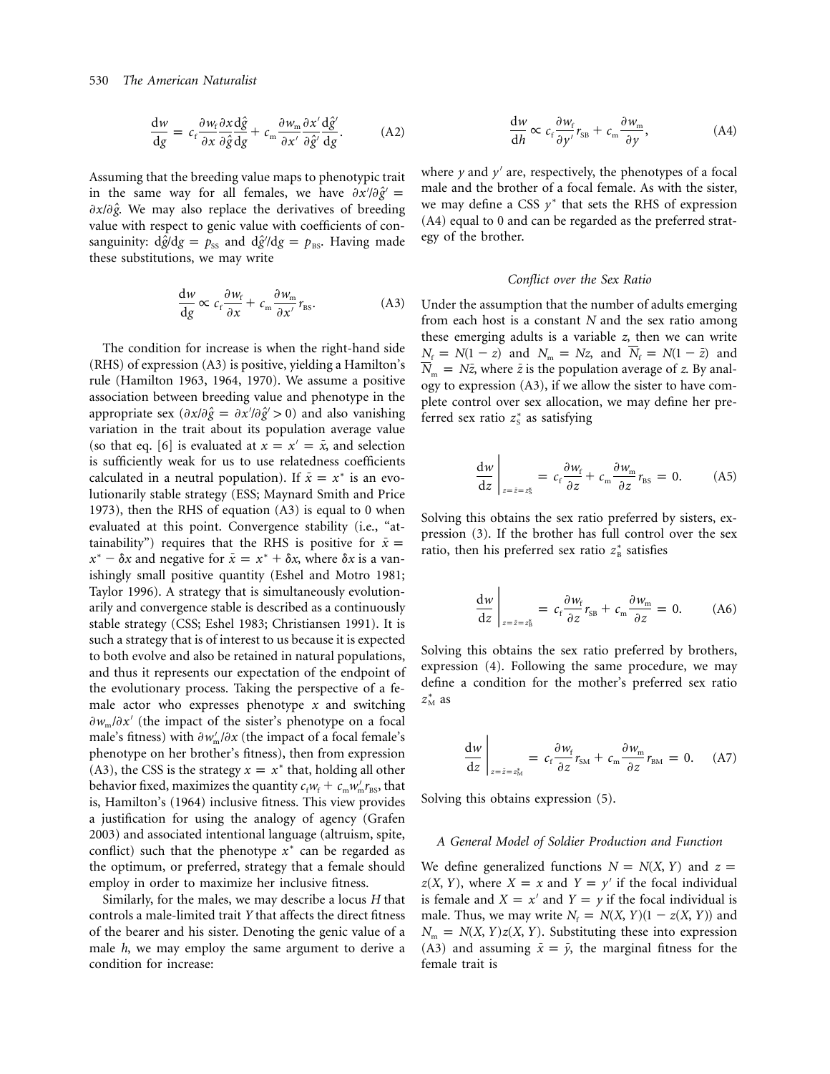$$
\frac{dw}{dg} = c_f \frac{\partial w_f}{\partial x} \frac{\partial x}{\partial \hat{g}} \frac{d\hat{g}}{dg} + c_m \frac{\partial w_m}{\partial x'} \frac{\partial x'}{\partial \hat{g}'} \frac{d\hat{g}'}{dg}.
$$
 (A2)

Assuming that the breeding value maps to phenotypic trait in the same way for all females, we have  $\partial x'/\partial \hat{g}^2$  =  $\frac{\partial x}{\partial \hat{g}}$ . We may also replace the derivatives of breeding value with respect to genic value with coefficients of consanguinity:  $d\hat{g}/dg = p_{ss}$  and  $d\hat{g}/dg = p_{ss}$ . Having made these substitutions, we may write

$$
\frac{\mathrm{d}w}{\mathrm{d}g} \propto c_{\rm f} \frac{\partial w_{\rm f}}{\partial x} + c_{\rm m} \frac{\partial w_{\rm m}}{\partial x'} r_{\rm BS}.
$$
 (A3)

The condition for increase is when the right-hand side (RHS) of expression (A3) is positive, yielding a Hamilton's rule (Hamilton 1963, 1964, 1970). We assume a positive association between breeding value and phenotype in the appropriate sex  $(\partial x / \partial \hat{g} = \partial x' / \partial \hat{g}' > 0)$  and also vanishing variation in the trait about its population average value (so that eq. [6] is evaluated at  $x = x' = \overline{x}$ , and selection is sufficiently weak for us to use relatedness coefficients calculated in a neutral population). If  $\bar{x} = x^*$  is an evolutionarily stable strategy (ESS; Maynard Smith and Price 1973), then the RHS of equation (A3) is equal to 0 when evaluated at this point. Convergence stability (i.e., "attainability") requires that the RHS is positive for  $\bar{x}$  =  $x^* - \delta x$  and negative for  $\bar{x} = x^* + \delta x$ , where  $\delta x$  is a vanishingly small positive quantity (Eshel and Motro 1981; Taylor 1996). A strategy that is simultaneously evolutionarily and convergence stable is described as a continuously stable strategy (CSS; Eshel 1983; Christiansen 1991). It is such a strategy that is of interest to us because it is expected to both evolve and also be retained in natural populations, and thus it represents our expectation of the endpoint of the evolutionary process. Taking the perspective of a female actor who expresses phenotype *x* and switching  $\partial w_m / \partial x'$  (the impact of the sister's phenotype on a focal male's fitness) with  $\partial w'_{\rm m}/\partial x$  (the impact of a focal female's phenotype on her brother's fitness), then from expression (A3), the CSS is the strategy  $x = x^*$  that, holding all other behavior fixed, maximizes the quantity  $c_f w_f + c_m w'_m r_{BS}$ , that is, Hamilton's (1964) inclusive fitness. This view provides a justification for using the analogy of agency (Grafen 2003) and associated intentional language (altruism, spite, conflict) such that the phenotype  $x^*$  can be regarded as the optimum, or preferred, strategy that a female should employ in order to maximize her inclusive fitness.

Similarly, for the males, we may describe a locus *H* that controls a male-limited trait *Y* that affects the direct fitness of the bearer and his sister. Denoting the genic value of a male *h*, we may employ the same argument to derive a condition for increase:

$$
\frac{\mathrm{d}w}{\mathrm{d}h} \propto c_f \frac{\partial w_f}{\partial y'} r_{\text{SB}} + c_{\text{m}} \frac{\partial w_{\text{m}}}{\partial y},\tag{A4}
$$

where  $y$  and  $y'$  are, respectively, the phenotypes of a focal male and the brother of a focal female. As with the sister, we may define a CSS  $y^*$  that sets the RHS of expression (A4) equal to 0 and can be regarded as the preferred strategy of the brother.

#### *Conflict over the Sex Ratio*

Under the assumption that the number of adults emerging from each host is a constant *N* and the sex ratio among these emerging adults is a variable *z*, then we can write  $N_f = N(1 - z)$  and  $N_m = Nz$ , and  $\overline{N}_f = N(1 - \overline{z})$  and  $\overline{N}_m = N\overline{z}$ , where  $\overline{z}$  is the population average of *z*. By analogy to expression (A3), if we allow the sister to have complete control over sex allocation, we may define her preferred sex ratio  $z_s^*$  as satisfying

$$
\frac{dw}{dz}\bigg|_{z=\bar{z}=z_{\bar{s}}} = c_{\rm f}\frac{\partial w_{\rm f}}{\partial z} + c_{\rm m}\frac{\partial w_{\rm m}}{\partial z}r_{\rm BS} = 0. \tag{A5}
$$

Solving this obtains the sex ratio preferred by sisters, expression (3). If the brother has full control over the sex ratio, then his preferred sex ratio  $z^*_{\text{B}}$  satisfies

$$
\frac{dw}{dz}\bigg|_{z=\bar{z}=z_{\bar{b}}} = c_{\rm f} \frac{\partial w_{\rm f}}{\partial z} r_{\rm SB} + c_{\rm m} \frac{\partial w_{\rm m}}{\partial z} = 0. \qquad (A6)
$$

Solving this obtains the sex ratio preferred by brothers, expression (4). Following the same procedure, we may define a condition for the mother's preferred sex ratio  $z_M^*$  as

$$
\frac{\mathrm{d}w}{\mathrm{d}z}\bigg|_{z=\bar{z}=z_{\mathrm{M}}^*} = c_{\mathrm{f}}\frac{\partial w_{\mathrm{f}}}{\partial z}r_{\mathrm{SM}} + c_{\mathrm{m}}\frac{\partial w_{\mathrm{m}}}{\partial z}r_{\mathrm{BM}} = 0. \quad \text{(A7)}
$$

Solving this obtains expression (5).

#### *A General Model of Soldier Production and Function*

We define generalized functions  $N = N(X, Y)$  and  $z =$  $z(X, Y)$ , where  $X = x$  and  $Y = y'$  if the focal individual is female and  $X = x'$  and  $Y = y$  if the focal individual is male. Thus, we may write  $N_f = N(X, Y)(1 - z(X, Y))$  and  $N<sub>m</sub> = N(X, Y)z(X, Y)$ . Substituting these into expression (A3) and assuming  $\bar{x} = \bar{y}$ , the marginal fitness for the female trait is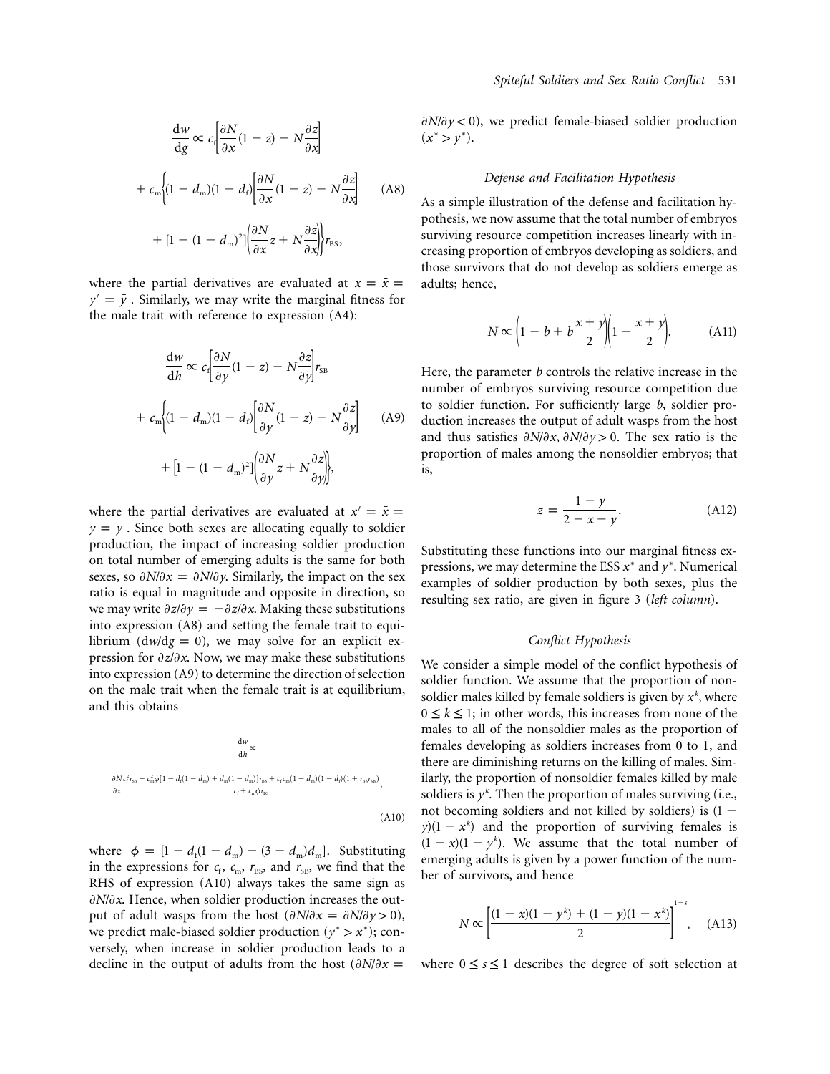$$
\frac{dw}{dg} \propto c_t \left[ \frac{\partial N}{\partial x} (1 - z) - N \frac{\partial z}{\partial x} \right]
$$
  
+ 
$$
c_m \left\{ (1 - d_m)(1 - d_t) \left[ \frac{\partial N}{\partial x} (1 - z) - N \frac{\partial z}{\partial x} \right] \right\}
$$
 (A8)  
+ 
$$
[1 - (1 - d_m)^2] \left( \frac{\partial N}{\partial x} z + N \frac{\partial z}{\partial x} \right) r_{\text{BS}},
$$

where the partial derivatives are evaluated at  $x = \bar{x} =$  $y' = \bar{y}$ . Similarly, we may write the marginal fitness for the male trait with reference to expression (A4):

$$
\frac{dw}{dh} \propto c_t \left[ \frac{\partial N}{\partial y} (1 - z) - N \frac{\partial z}{\partial y} \right] r_{SB}
$$
  
+ 
$$
c_m \left\{ (1 - d_m)(1 - d_i) \left[ \frac{\partial N}{\partial y} (1 - z) - N \frac{\partial z}{\partial y} \right] + \left[ 1 - (1 - d_m)^2 \right] \left( \frac{\partial N}{\partial y} z + N \frac{\partial z}{\partial y} \right] \right\},
$$
 (A9)

where the partial derivatives are evaluated at  $x' = \bar{x} =$  $y = \bar{y}$ . Since both sexes are allocating equally to soldier production, the impact of increasing soldier production on total number of emerging adults is the same for both sexes, so  $\partial N/\partial x = \partial N/\partial y$ . Similarly, the impact on the sex ratio is equal in magnitude and opposite in direction, so we may write  $\partial z/\partial y = -\partial z/\partial x$ . Making these substitutions into expression (A8) and setting the female trait to equilibrium ( $dw/dg = 0$ ), we may solve for an explicit expression for  $\partial z/\partial x$ . Now, we may make these substitutions into expression (A9) to determine the direction of selection on the male trait when the female trait is at equilibrium, and this obtains

$$
\frac{dw}{dh} \propto
$$
\n
$$
\frac{\partial N c_{t}^{2} r_{\rm SB} + c_{\rm m}^{2} \phi [1 - d_{\rm f} (1 - d_{\rm m}) + d_{\rm m} (1 - d_{\rm m})] r_{\rm BS} + c_{\rm f} c_{\rm m} (1 - d_{\rm m}) (1 - d_{\rm f}) (1 + r_{\rm BS} r_{\rm SB})}{c_{\rm f} + c_{\rm m} \phi r_{\rm BS}},
$$
\n(A10)

where  $\phi = [1 - d_f(1 - d_m) - (3 - d_m)d_m]$ . Substituting in the expressions for  $c_f$ ,  $c_m$ ,  $r_{BS}$ , and  $r_{SB}$ , we find that the RHS of expression (A10) always takes the same sign as  $\partial N/\partial x$ . Hence, when soldier production increases the output of adult wasps from the host  $(\partial N/\partial x = \partial N/\partial y > 0)$ , we predict male-biased soldier production ( $y^* > x^*$ ); conversely, when increase in soldier production leads to a decline in the output of adults from the host  $(\partial N/\partial x)$  =

 $\partial N/\partial y < 0$ , we predict female-biased soldier production  $(x^* > y^*).$ 

## *Defense and Facilitation Hypothesis*

As a simple illustration of the defense and facilitation hypothesis, we now assume that the total number of embryos surviving resource competition increases linearly with increasing proportion of embryos developing as soldiers, and those survivors that do not develop as soldiers emerge as adults; hence,

$$
N \propto \left(1 - b + b \frac{x + y}{2}\right) \left(1 - \frac{x + y}{2}\right). \tag{A11}
$$

Here, the parameter *b* controls the relative increase in the number of embryos surviving resource competition due to soldier function. For sufficiently large *b*, soldier production increases the output of adult wasps from the host and thus satisfies  $\partial N/\partial x$ ,  $\partial N/\partial y > 0$ . The sex ratio is the proportion of males among the nonsoldier embryos; that is,

$$
z = \frac{1 - y}{2 - x - y}.\tag{A12}
$$

Substituting these functions into our marginal fitness expressions, we may determine the ESS  $x^*$  and  $y^*$ . Numerical examples of soldier production by both sexes, plus the resulting sex ratio, are given in figure 3 (*left column*).

#### *Conflict Hypothesis*

We consider a simple model of the conflict hypothesis of soldier function. We assume that the proportion of nonsoldier males killed by female soldiers is given by  $x^k$ , where  $0 \leq k \leq 1$ ; in other words, this increases from none of the males to all of the nonsoldier males as the proportion of females developing as soldiers increases from 0 to 1, and there are diminishing returns on the killing of males. Similarly, the proportion of nonsoldier females killed by male soldiers is  $y^k$ . Then the proportion of males surviving (i.e., not becoming soldiers and not killed by soldiers) is  $(1$  $y(1 - x^k)$  and the proportion of surviving females is  $(1 - x)(1 - y^k)$ . We assume that the total number of emerging adults is given by a power function of the number of survivors, and hence

$$
N \propto \left[ \frac{(1-x)(1-y^k) + (1-y)(1-x^k)}{2} \right]^{1-s}, \quad \text{(A13)}
$$

where  $0 \leq s \leq 1$  describes the degree of soft selection at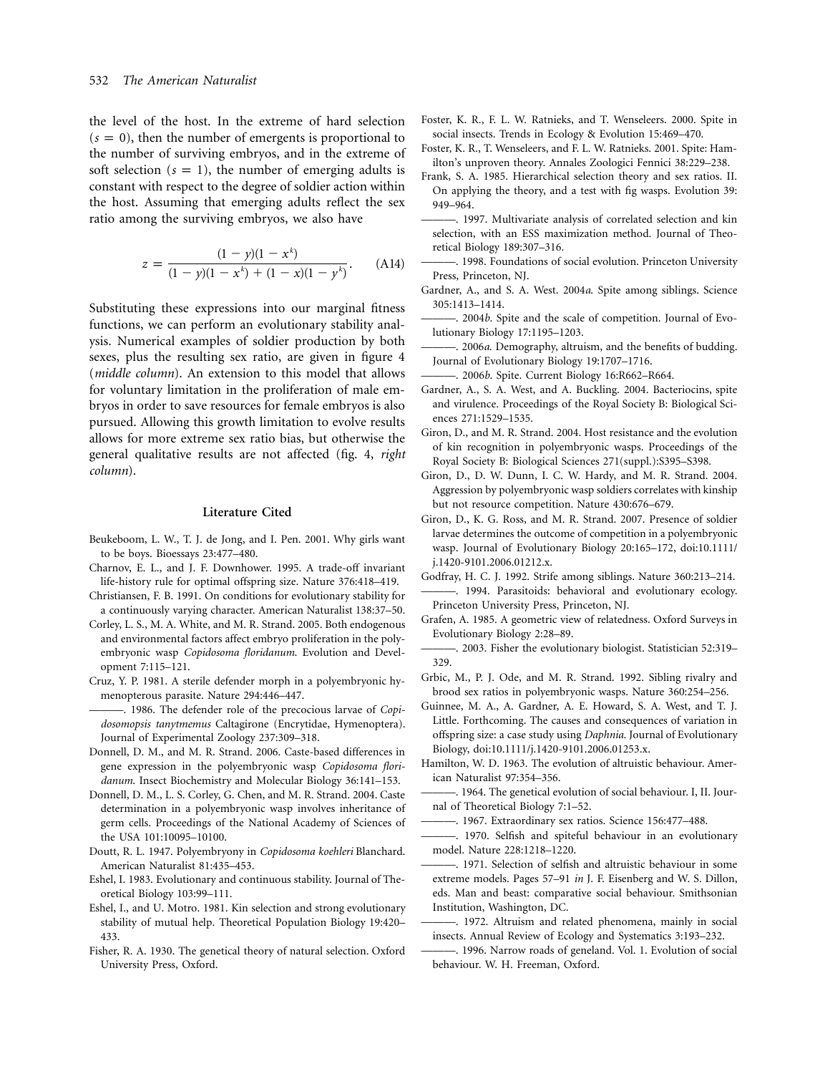the level of the host. In the extreme of hard selection  $(s = 0)$ , then the number of emergents is proportional to the number of surviving embryos, and in the extreme of soft selection  $(s = 1)$ , the number of emerging adults is constant with respect to the degree of soldier action within the host. Assuming that emerging adults reflect the sex ratio among the surviving embryos, we also have

$$
z = \frac{(1 - y)(1 - x^{k})}{(1 - y)(1 - x^{k}) + (1 - x)(1 - y^{k})}.
$$
 (A14)

Substituting these expressions into our marginal fitness functions, we can perform an evolutionary stability analysis. Numerical examples of soldier production by both sexes, plus the resulting sex ratio, are given in figure 4 (*middle column*). An extension to this model that allows for voluntary limitation in the proliferation of male embryos in order to save resources for female embryos is also pursued. Allowing this growth limitation to evolve results allows for more extreme sex ratio bias, but otherwise the general qualitative results are not affected (fig. 4, *right column*).

## **Literature Cited**

- Beukeboom, L. W., T. J. de Jong, and I. Pen. 2001. Why girls want to be boys. Bioessays 23:477–480.
- Charnov, E. L., and J. F. Downhower. 1995. A trade-off invariant life-history rule for optimal offspring size. Nature 376:418–419.
- Christiansen, F. B. 1991. On conditions for evolutionary stability for a continuously varying character. American Naturalist 138:37–50.
- Corley, L. S., M. A. White, and M. R. Strand. 2005. Both endogenous and environmental factors affect embryo proliferation in the polyembryonic wasp *Copidosoma floridanum*. Evolution and Development 7:115–121.
- Cruz, Y. P. 1981. A sterile defender morph in a polyembryonic hymenopterous parasite. Nature 294:446–447.
- -. 1986. The defender role of the precocious larvae of *Copidosomopsis tanytmemus* Caltagirone (Encrytidae, Hymenoptera). Journal of Experimental Zoology 237:309–318.
- Donnell, D. M., and M. R. Strand. 2006. Caste-based differences in gene expression in the polyembryonic wasp *Copidosoma floridanum*. Insect Biochemistry and Molecular Biology 36:141–153.
- Donnell, D. M., L. S. Corley, G. Chen, and M. R. Strand. 2004. Caste determination in a polyembryonic wasp involves inheritance of germ cells. Proceedings of the National Academy of Sciences of the USA 101:10095–10100.
- Doutt, R. L. 1947. Polyembryony in *Copidosoma koehleri* Blanchard. American Naturalist 81:435–453.
- Eshel, I. 1983. Evolutionary and continuous stability. Journal of Theoretical Biology 103:99–111.
- Eshel, I., and U. Motro. 1981. Kin selection and strong evolutionary stability of mutual help. Theoretical Population Biology 19:420– 433.
- Fisher, R. A. 1930. The genetical theory of natural selection. Oxford University Press, Oxford.
- Foster, K. R., F. L. W. Ratnieks, and T. Wenseleers. 2000. Spite in social insects. Trends in Ecology & Evolution 15:469–470.
- Foster, K. R., T. Wenseleers, and F. L. W. Ratnieks. 2001. Spite: Hamilton's unproven theory. Annales Zoologici Fennici 38:229–238.
- Frank, S. A. 1985. Hierarchical selection theory and sex ratios. II. On applying the theory, and a test with fig wasps. Evolution 39: 949–964.
- -. 1997. Multivariate analysis of correlated selection and kin selection, with an ESS maximization method. Journal of Theoretical Biology 189:307–316.
- ———. 1998. Foundations of social evolution. Princeton University Press, Princeton, NJ.
- Gardner, A., and S. A. West. 2004*a*. Spite among siblings. Science 305:1413–1414.
- ———. 2004*b*. Spite and the scale of competition. Journal of Evolutionary Biology 17:1195–1203.
- ———. 2006*a*. Demography, altruism, and the benefits of budding. Journal of Evolutionary Biology 19:1707–1716.

———. 2006*b*. Spite. Current Biology 16:R662–R664.

- Gardner, A., S. A. West, and A. Buckling. 2004. Bacteriocins, spite and virulence. Proceedings of the Royal Society B: Biological Sciences 271:1529–1535.
- Giron, D., and M. R. Strand. 2004. Host resistance and the evolution of kin recognition in polyembryonic wasps. Proceedings of the Royal Society B: Biological Sciences 271(suppl.):S395–S398.
- Giron, D., D. W. Dunn, I. C. W. Hardy, and M. R. Strand. 2004. Aggression by polyembryonic wasp soldiers correlates with kinship but not resource competition. Nature 430:676–679.
- Giron, D., K. G. Ross, and M. R. Strand. 2007. Presence of soldier larvae determines the outcome of competition in a polyembryonic wasp. Journal of Evolutionary Biology 20:165–172, doi:10.1111/ j.1420-9101.2006.01212.x.
- Godfray, H. C. J. 1992. Strife among siblings. Nature 360:213–214.
- ———. 1994. Parasitoids: behavioral and evolutionary ecology. Princeton University Press, Princeton, NJ.
- Grafen, A. 1985. A geometric view of relatedness. Oxford Surveys in Evolutionary Biology 2:28–89.
- 2003. Fisher the evolutionary biologist. Statistician 52:319-329.
- Grbic, M., P. J. Ode, and M. R. Strand. 1992. Sibling rivalry and brood sex ratios in polyembryonic wasps. Nature 360:254–256.
- Guinnee, M. A., A. Gardner, A. E. Howard, S. A. West, and T. J. Little. Forthcoming. The causes and consequences of variation in offspring size: a case study using *Daphnia*. Journal of Evolutionary Biology, doi:10.1111/j.1420-9101.2006.01253.x.
- Hamilton, W. D. 1963. The evolution of altruistic behaviour. American Naturalist 97:354–356.
- -. 1964. The genetical evolution of social behaviour. I, II. Journal of Theoretical Biology 7:1–52.
- ———. 1967. Extraordinary sex ratios. Science 156:477–488.
- ———. 1970. Selfish and spiteful behaviour in an evolutionary model. Nature 228:1218–1220.
- . 1971. Selection of selfish and altruistic behaviour in some extreme models. Pages 57–91 *in* J. F. Eisenberg and W. S. Dillon, eds. Man and beast: comparative social behaviour. Smithsonian Institution, Washington, DC.
- -. 1972. Altruism and related phenomena, mainly in social insects. Annual Review of Ecology and Systematics 3:193–232.
- ———. 1996. Narrow roads of geneland. Vol. 1. Evolution of social behaviour. W. H. Freeman, Oxford.